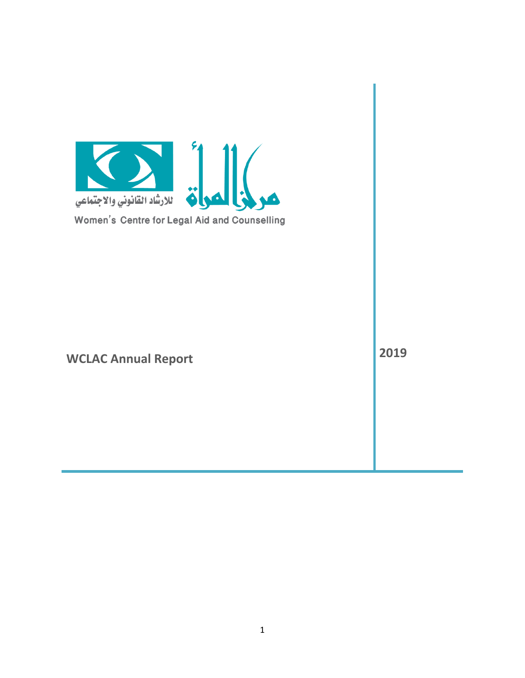<span id="page-0-0"></span>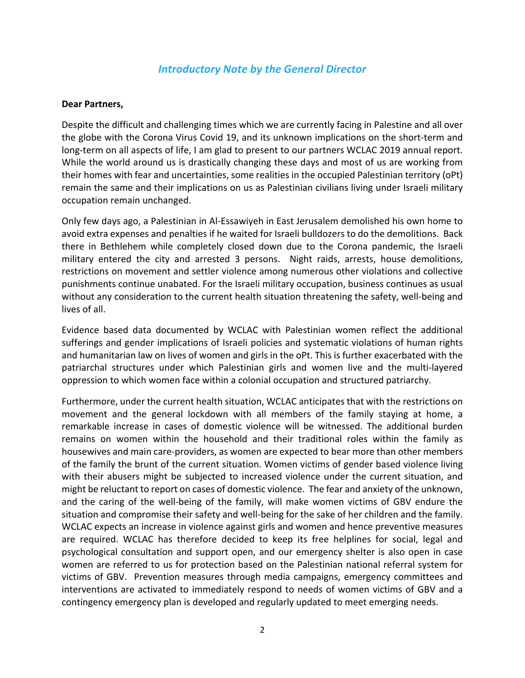#### *Introductory Note by the General Director*

#### **Dear Partners,**

Despite the difficult and challenging times which we are currently facing in Palestine and all over the globe with the Corona Virus Covid 19, and its unknown implications on the short-term and long-term on all aspects of life, I am glad to present to our partners WCLAC 2019 annual report. While the world around us is drastically changing these days and most of us are working from their homes with fear and uncertainties, some realities in the occupied Palestinian territory (oPt) remain the same and their implications on us as Palestinian civilians living under Israeli military occupation remain unchanged.

Only few days ago, a Palestinian in Al-Essawiyeh in East Jerusalem demolished his own home to avoid extra expenses and penalties if he waited for Israeli bulldozers to do the demolitions. Back there in Bethlehem while completely closed down due to the Corona pandemic, the Israeli military entered the city and arrested 3 persons. Night raids, arrests, house demolitions, restrictions on movement and settler violence among numerous other violations and collective punishments continue unabated. For the Israeli military occupation, business continues as usual without any consideration to the current health situation threatening the safety, well-being and lives of all.

Evidence based data documented by WCLAC with Palestinian women reflect the additional sufferings and gender implications of Israeli policies and systematic violations of human rights and humanitarian law on lives of women and girls in the oPt. This is further exacerbated with the patriarchal structures under which Palestinian girls and women live and the multi-layered oppression to which women face within a colonial occupation and structured patriarchy.

Furthermore, under the current health situation, WCLAC anticipates that with the restrictions on movement and the general lockdown with all members of the family staying at home, a remarkable increase in cases of domestic violence will be witnessed. The additional burden remains on women within the household and their traditional roles within the family as housewives and main care-providers, as women are expected to bear more than other members of the family the brunt of the current situation. Women victims of gender based violence living with their abusers might be subjected to increased violence under the current situation, and might be reluctant to report on cases of domestic violence. The fear and anxiety of the unknown, and the caring of the well-being of the family, will make women victims of GBV endure the situation and compromise their safety and well-being for the sake of her children and the family. WCLAC expects an increase in violence against girls and women and hence preventive measures are required. WCLAC has therefore decided to keep its free helplines for social, legal and psychological consultation and support open, and our emergency shelter is also open in case women are referred to us for protection based on the Palestinian national referral system for victims of GBV. Prevention measures through media campaigns, emergency committees and interventions are activated to immediately respond to needs of women victims of GBV and a contingency emergency plan is developed and regularly updated to meet emerging needs.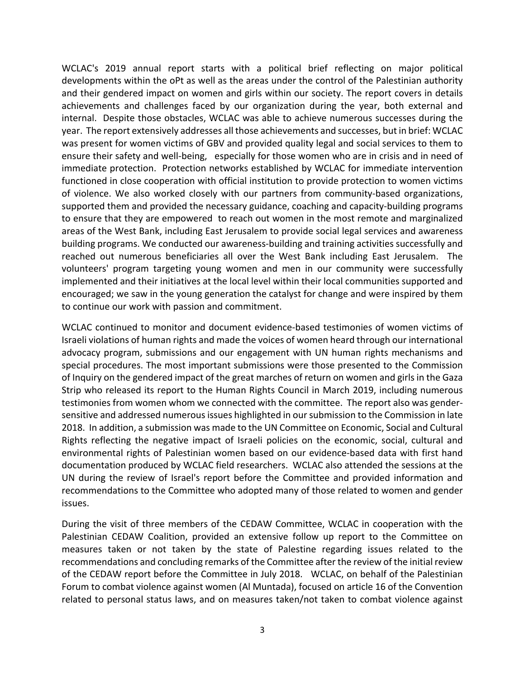WCLAC's 2019 annual report starts with a political brief reflecting on major political developments within the oPt as well as the areas under the control of the Palestinian authority and their gendered impact on women and girls within our society. The report covers in details achievements and challenges faced by our organization during the year, both external and internal. Despite those obstacles, WCLAC was able to achieve numerous successes during the year. The report extensively addresses all those achievements and successes, but in brief: WCLAC was present for women victims of GBV and provided quality legal and social services to them to ensure their safety and well-being, especially for those women who are in crisis and in need of immediate protection. Protection networks established by WCLAC for immediate intervention functioned in close cooperation with official institution to provide protection to women victims of violence. We also worked closely with our partners from community-based organizations, supported them and provided the necessary guidance, coaching and capacity-building programs to ensure that they are empowered to reach out women in the most remote and marginalized areas of the West Bank, including East Jerusalem to provide social legal services and awareness building programs. We conducted our awareness-building and training activities successfully and reached out numerous beneficiaries all over the West Bank including East Jerusalem. The volunteers' program targeting young women and men in our community were successfully implemented and their initiatives at the local level within their local communities supported and encouraged; we saw in the young generation the catalyst for change and were inspired by them to continue our work with passion and commitment.

WCLAC continued to monitor and document evidence-based testimonies of women victims of Israeli violations of human rights and made the voices of women heard through our international advocacy program, submissions and our engagement with UN human rights mechanisms and special procedures. The most important submissions were those presented to the Commission of Inquiry on the gendered impact of the great marches of return on women and girls in the Gaza Strip who released its report to the Human Rights Council in March 2019, including numerous testimonies from women whom we connected with the committee. The report also was gendersensitive and addressed numerous issues highlighted in our submission to the Commission in late 2018. In addition, a submission was made to the UN Committee on Economic, Social and Cultural Rights reflecting the negative impact of Israeli policies on the economic, social, cultural and environmental rights of Palestinian women based on our evidence-based data with first hand documentation produced by WCLAC field researchers. WCLAC also attended the sessions at the UN during the review of Israel's report before the Committee and provided information and recommendations to the Committee who adopted many of those related to women and gender issues.

During the visit of three members of the CEDAW Committee, WCLAC in cooperation with the Palestinian CEDAW Coalition, provided an extensive follow up report to the Committee on measures taken or not taken by the state of Palestine regarding issues related to the recommendations and concluding remarks of the Committee after the review of the initial review of the CEDAW report before the Committee in July 2018. WCLAC, on behalf of the Palestinian Forum to combat violence against women (Al Muntada), focused on article 16 of the Convention related to personal status laws, and on measures taken/not taken to combat violence against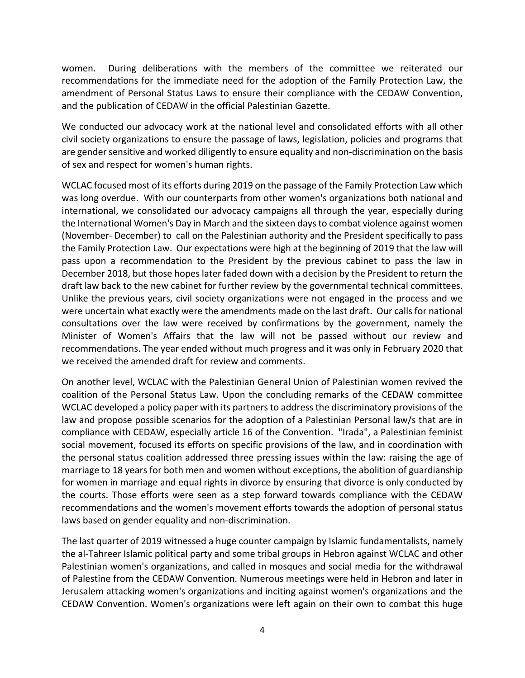women. During deliberations with the members of the committee we reiterated our recommendations for the immediate need for the adoption of the Family Protection Law, the amendment of Personal Status Laws to ensure their compliance with the CEDAW Convention, and the publication of CEDAW in the official Palestinian Gazette.

We conducted our advocacy work at the national level and consolidated efforts with all other civil society organizations to ensure the passage of laws, legislation, policies and programs that are gender sensitive and worked diligently to ensure equality and non-discrimination on the basis of sex and respect for women's human rights.

WCLAC focused most of its efforts during 2019 on the passage of the Family Protection Law which was long overdue. With our counterparts from other women's organizations both national and international, we consolidated our advocacy campaigns all through the year, especially during the International Women's Day in March and the sixteen days to combat violence against women (November- December) to call on the Palestinian authority and the President specifically to pass the Family Protection Law. Our expectations were high at the beginning of 2019 that the law will pass upon a recommendation to the President by the previous cabinet to pass the law in December 2018, but those hopes later faded down with a decision by the President to return the draft law back to the new cabinet for further review by the governmental technical committees. Unlike the previous years, civil society organizations were not engaged in the process and we were uncertain what exactly were the amendments made on the last draft. Our calls for national consultations over the law were received by confirmations by the government, namely the Minister of Women's Affairs that the law will not be passed without our review and recommendations. The year ended without much progress and it was only in February 2020 that we received the amended draft for review and comments.

On another level, WCLAC with the Palestinian General Union of Palestinian women revived the coalition of the Personal Status Law. Upon the concluding remarks of the CEDAW committee WCLAC developed a policy paper with its partners to address the discriminatory provisions of the law and propose possible scenarios for the adoption of a Palestinian Personal law/s that are in compliance with CEDAW, especially article 16 of the Convention. "Irada", a Palestinian feminist social movement, focused its efforts on specific provisions of the law, and in coordination with the personal status coalition addressed three pressing issues within the law: raising the age of marriage to 18 years for both men and women without exceptions, the abolition of guardianship for women in marriage and equal rights in divorce by ensuring that divorce is only conducted by the courts. Those efforts were seen as a step forward towards compliance with the CEDAW recommendations and the women's movement efforts towards the adoption of personal status laws based on gender equality and non-discrimination.

The last quarter of 2019 witnessed a huge counter campaign by Islamic fundamentalists, namely the al-Tahreer Islamic political party and some tribal groups in Hebron against WCLAC and other Palestinian women's organizations, and called in mosques and social media for the withdrawal of Palestine from the CEDAW Convention. Numerous meetings were held in Hebron and later in Jerusalem attacking women's organizations and inciting against women's organizations and the CEDAW Convention. Women's organizations were left again on their own to combat this huge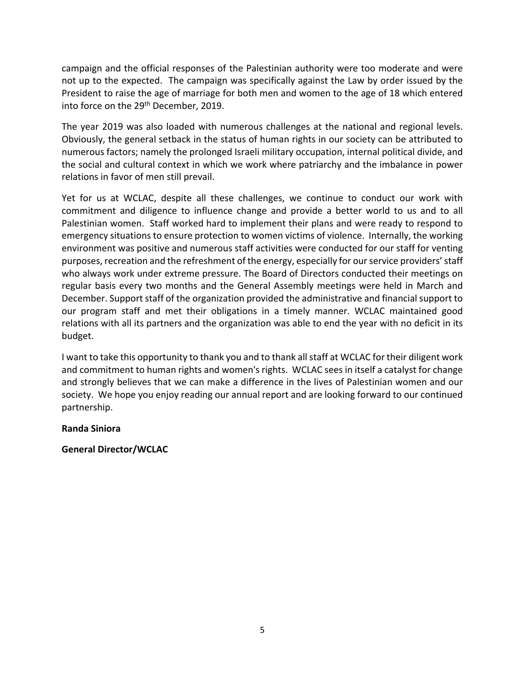campaign and the official responses of the Palestinian authority were too moderate and were not up to the expected. The campaign was specifically against the Law by order issued by the President to raise the age of marriage for both men and women to the age of 18 which entered into force on the 29<sup>th</sup> December, 2019.

The year 2019 was also loaded with numerous challenges at the national and regional levels. Obviously, the general setback in the status of human rights in our society can be attributed to numerous factors; namely the prolonged Israeli military occupation, internal political divide, and the social and cultural context in which we work where patriarchy and the imbalance in power relations in favor of men still prevail.

Yet for us at WCLAC, despite all these challenges, we continue to conduct our work with commitment and diligence to influence change and provide a better world to us and to all Palestinian women. Staff worked hard to implement their plans and were ready to respond to emergency situations to ensure protection to women victims of violence. Internally, the working environment was positive and numerous staff activities were conducted for our staff for venting purposes, recreation and the refreshment of the energy, especially for our service providers' staff who always work under extreme pressure. The Board of Directors conducted their meetings on regular basis every two months and the General Assembly meetings were held in March and December. Support staff of the organization provided the administrative and financial support to our program staff and met their obligations in a timely manner. WCLAC maintained good relations with all its partners and the organization was able to end the year with no deficit in its budget.

I want to take this opportunity to thank you and to thank all staff at WCLAC for their diligent work and commitment to human rights and women's rights. WCLAC sees in itself a catalyst for change and strongly believes that we can make a difference in the lives of Palestinian women and our society. We hope you enjoy reading our annual report and are looking forward to our continued partnership.

#### **Randa Siniora**

#### **General Director/WCLAC**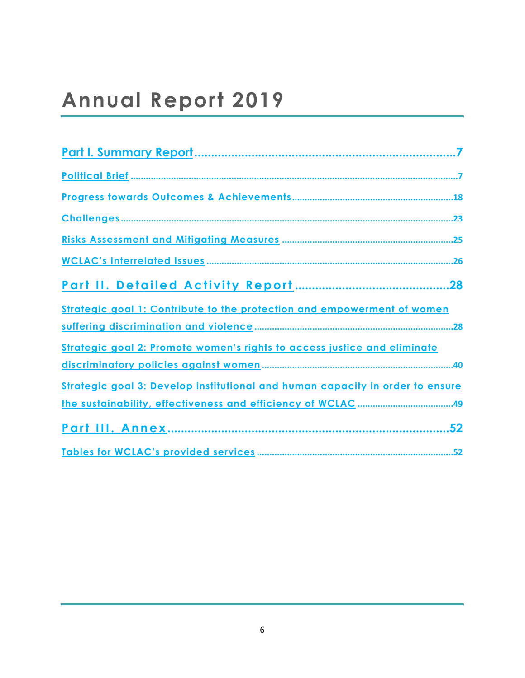# **Annual Report 2019**

| Strategic goal 1: Contribute to the protection and empowerment of women       |  |
|-------------------------------------------------------------------------------|--|
|                                                                               |  |
| Strategic goal 2: Promote women's rights to access justice and eliminate      |  |
|                                                                               |  |
| Strategic goal 3: Develop institutional and human capacity in order to ensure |  |
|                                                                               |  |
| 52                                                                            |  |
|                                                                               |  |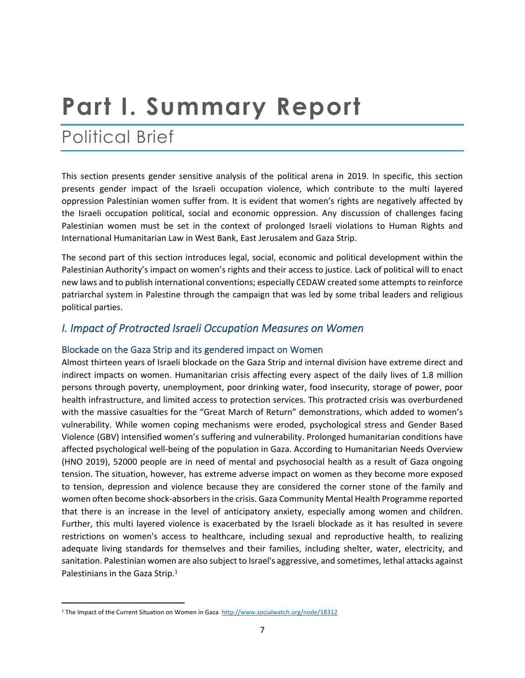# <span id="page-6-0"></span>**Part I. Summary Report**

# <span id="page-6-1"></span>Political Brief

This section presents gender sensitive analysis of the political arena in 2019. In specific, this section presents gender impact of the Israeli occupation violence, which contribute to the multi layered oppression Palestinian women suffer from. It is evident that women's rights are negatively affected by the Israeli occupation political, social and economic oppression. Any discussion of challenges facing Palestinian women must be set in the context of prolonged Israeli violations to Human Rights and International Humanitarian Law in West Bank, East Jerusalem and Gaza Strip.

The second part of this section introduces legal, social, economic and political development within the Palestinian Authority's impact on women's rights and their access to justice. Lack of political will to enact new laws and to publish international conventions; especially CEDAW created some attempts to reinforce patriarchal system in Palestine through the campaign that was led by some tribal leaders and religious political parties.

### *I. Impact of Protracted Israeli Occupation Measures on Women*

#### **Blockade on the Gaza Strip and its gendered impact on Women**

Almost thirteen years of Israeli blockade on the Gaza Strip and internal division have extreme direct and indirect impacts on women. Humanitarian crisis affecting every aspect of the daily lives of 1.8 million persons through poverty, unemployment, poor drinking water, food insecurity, storage of power, poor health infrastructure, and limited access to protection services. This protracted crisis was overburdened with the massive casualties for the "Great March of Return" demonstrations, which added to women's vulnerability. While women coping mechanisms were eroded, psychological stress and Gender Based Violence (GBV) intensified women's suffering and vulnerability. Prolonged humanitarian conditions have affected psychological well-being of the population in Gaza. According to Humanitarian Needs Overview (HNO 2019), 52000 people are in need of mental and psychosocial health as a result of Gaza ongoing tension. The situation, however, has extreme adverse impact on women as they become more exposed to tension, depression and violence because they are considered the corner stone of the family and women often become shock-absorbers in the crisis. Gaza Community Mental Health Programme reported that there is an increase in the level of anticipatory anxiety, especially among women and children. Further, this multi layered violence is exacerbated by the Israeli blockade as it has resulted in severe restrictions on women's access to healthcare, including sexual and reproductive health, to realizing adequate living standards for themselves and their families, including shelter, water, electricity, and sanitation. Palestinian women are also subject to Israel's aggressive, and sometimes, lethal attacks against Palestinians in the Gaza Strip.<sup>1</sup>

<sup>&</sup>lt;sup>1</sup> The Impact of the Current Situation on Women in Gaza <http://www.socialwatch.org/node/18312>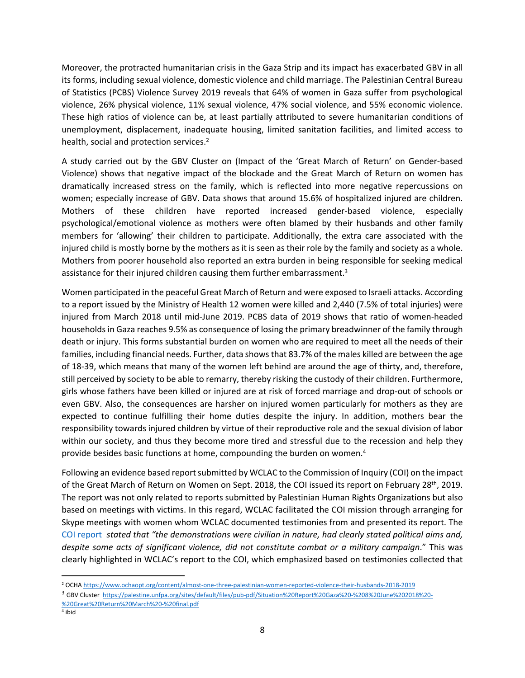Moreover, the protracted humanitarian crisis in the Gaza Strip and its impact has exacerbated GBV in all its forms, including sexual violence, domestic violence and child marriage. The Palestinian Central Bureau of Statistics (PCBS) Violence Survey 2019 reveals that 64% of women in Gaza suffer from psychological violence, 26% physical violence, 11% sexual violence, 47% social violence, and 55% economic violence. These high ratios of violence can be, at least partially attributed to severe humanitarian conditions of unemployment, displacement, inadequate housing, limited sanitation facilities, and limited access to health, social and protection services.<sup>2</sup>

A study carried out by the GBV Cluster on (Impact of the 'Great March of Return' on Gender-based Violence) shows that negative impact of the blockade and the Great March of Return on women has dramatically increased stress on the family, which is reflected into more negative repercussions on women; especially increase of GBV. Data shows that around 15.6% of hospitalized injured are children. Mothers of these children have reported increased gender-based violence, especially psychological/emotional violence as mothers were often blamed by their husbands and other family members for 'allowing' their children to participate. Additionally, the extra care associated with the injured child is mostly borne by the mothers as it is seen as their role by the family and society as a whole. Mothers from poorer household also reported an extra burden in being responsible for seeking medical assistance for their injured children causing them further embarrassment.<sup>3</sup>

Women participated in the peaceful Great March of Return and were exposed to Israeli attacks. According to a report issued by the Ministry of Health 12 women were killed and 2,440 (7.5% of total injuries) were injured from March 2018 until mid-June 2019. PCBS data of 2019 shows that ratio of women-headed households in Gaza reaches 9.5% as consequence of losing the primary breadwinner of the family through death or injury. This forms substantial burden on women who are required to meet all the needs of their families, including financial needs. Further, data shows that 83.7% of the males killed are between the age of 18-39, which means that many of the women left behind are around the age of thirty, and, therefore, still perceived by society to be able to remarry, thereby risking the custody of their children. Furthermore, girls whose fathers have been killed or injured are at risk of forced marriage and drop-out of schools or even GBV. Also, the consequences are harsher on injured women particularly for mothers as they are expected to continue fulfilling their home duties despite the injury. In addition, mothers bear the responsibility towards injured children by virtue of their reproductive role and the sexual division of labor within our society, and thus they become more tired and stressful due to the recession and help they provide besides basic functions at home, compounding the burden on women.<sup>4</sup>

Following an evidence based report submitted by WCLAC to the Commission of Inquiry (COI) on the impact of the Great March of Return on Women on Sept. 2018, the COI issued its report on February 28th, 2019. The report was not only related to reports submitted by Palestinian Human Rights Organizations but also based on meetings with victims. In this regard, WCLAC facilitated the COI mission through arranging for Skype meetings with women whom WCLAC documented testimonies from and presented its report. The [COI report](https://www.ohchr.org/Documents/HRBodies/HRCouncil/CoIOPT/A_HRC_40_74.pdf) *stated that "the demonstrations were civilian in nature, had clearly stated political aims and, despite some acts of significant violence, did not constitute combat or a military campaign*." This was clearly highlighted in WCLAC's report to the COI, which emphasized based on testimonies collected that

<sup>2</sup> OCHA<https://www.ochaopt.org/content/almost-one-three-palestinian-women-reported-violence-their-husbands-2018-2019>

<sup>3</sup> GBV Cluster [https://palestine.unfpa.org/sites/default/files/pub-pdf/Situation%20Report%20Gaza%20-%208%20June%202018%20-](https://palestine.unfpa.org/sites/default/files/pub-pdf/Situation%20Report%20Gaza%20-%208%20June%202018%20-%20Great%20Return%20March%20-%20final.pdf) [%20Great%20Return%20March%20-%20final.pdf](https://palestine.unfpa.org/sites/default/files/pub-pdf/Situation%20Report%20Gaza%20-%208%20June%202018%20-%20Great%20Return%20March%20-%20final.pdf)

<sup>4</sup> ibid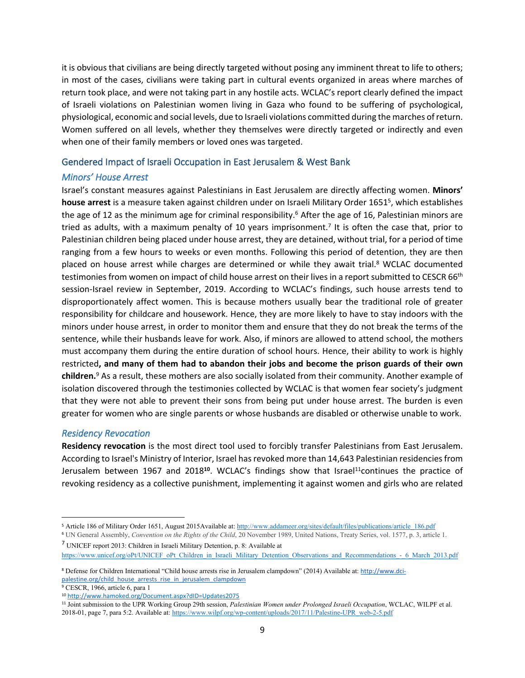it is obvious that civilians are being directly targeted without posing any imminent threat to life to others; in most of the cases, civilians were taking part in cultural events organized in areas where marches of return took place, and were not taking part in any hostile acts. WCLAC's report clearly defined the impact of Israeli violations on Palestinian women living in Gaza who found to be suffering of psychological, physiological, economic and social levels, due to Israeli violations committed during the marches of return. Women suffered on all levels, whether they themselves were directly targeted or indirectly and even when one of their family members or loved ones was targeted.

#### **Gendered Impact of Israeli Occupation in East Jerusalem & West Bank**

#### *Minors' House Arrest*

Israel's constant measures against Palestinians in East Jerusalem are directly affecting women. **Minors' house arrest** is a measure taken against children under on Israeli Military Order 1651<sup>5</sup> , which establishes the age of 12 as the minimum age for criminal responsibility.<sup>6</sup> After the age of 16, Palestinian minors are tried as adults, with a maximum penalty of 10 years imprisonment.<sup>7</sup> It is often the case that, prior to Palestinian children being placed under house arrest, they are detained, without trial, for a period of time ranging from a few hours to weeks or even months. Following this period of detention, they are then placed on house arrest while charges are determined or while they await trial.<sup>8</sup> WCLAC documented testimonies from women on impact of child house arrest on their lives in a report submitted to CESCR 66<sup>th</sup> session-Israel review in September, 2019. According to WCLAC's findings, such house arrests tend to disproportionately affect women. This is because mothers usually bear the traditional role of greater responsibility for childcare and housework. Hence, they are more likely to have to stay indoors with the minors under house arrest, in order to monitor them and ensure that they do not break the terms of the sentence, while their husbands leave for work. Also, if minors are allowed to attend school, the mothers must accompany them during the entire duration of school hours. Hence, their ability to work is highly restricted**, and many of them had to abandon their jobs and become the prison guards of their own children.**<sup>9</sup> As a result, these mothers are also socially isolated from their community. Another example of isolation discovered through the testimonies collected by WCLAC is that women fear society's judgment that they were not able to prevent their sons from being put under house arrest. The burden is even greater for women who are single parents or whose husbands are disabled or otherwise unable to work.

#### *Residency Revocation*

**Residency revocation** is the most direct tool used to forcibly transfer Palestinians from East Jerusalem. According to Israel's Ministry of Interior, Israel has revoked more than 14,643 Palestinian residencies from Jerusalem between 1967 and 2018**<sup>10</sup>**. WCLAC's findings show that Israel<sup>11</sup>continues the practice of revoking residency as a collective punishment, implementing it against women and girls who are related

[https://www.unicef.org/oPt/UNICEF\\_oPt\\_Children\\_in\\_Israeli\\_Military\\_Detention\\_Observations\\_and\\_Recommendations\\_-\\_6\\_March\\_2013.pdf](https://www.unicef.org/oPt/UNICEF_oPt_Children_in_Israeli_Military_Detention_Observations_and_Recommendations_-_6_March_2013.pdf)

<sup>&</sup>lt;sup>5</sup> Article 186 of Military Order 1651, August 2015Available at: [http://www.addameer.org/sites/default/files/publications/article\\_186.pdf](http://www.addameer.org/sites/default/files/publications/article_186.pdf)

<sup>6</sup> UN General Assembly, *Convention on the Rights of the Child*, 20 November 1989, United Nations, Treaty Series, vol. 1577, p. 3, article 1. <sup>7</sup> UNICEF report 2013: Children in Israeli Military Detention, p. 8: Available at

<sup>8</sup> Defense for Children International "Child house arrests rise in Jerusalem clampdown" (2014) Available at: [http://www.dci](http://www.dci-palestine.org/child_house_arrests_rise_in_jerusalem_clampdown)[palestine.org/child\\_house\\_arrests\\_rise\\_in\\_jerusalem\\_clampdown](http://www.dci-palestine.org/child_house_arrests_rise_in_jerusalem_clampdown)

<sup>9</sup> CESCR, 1966, article 6, para 1

<sup>10</sup> <http://www.hamoked.org/Document.aspx?dID=Updates2075>

<sup>11</sup> Joint submission to the UPR Working Group 29th session, *Palestinian Women under Prolonged Israeli Occupation*, WCLAC, WILPF et al. 2018-01, page 7, para 5:2. Available at: [https://www.wilpf.org/wp-content/uploads/2017/11/Palestine-UPR\\_web-2-5.pdf](https://www.wilpf.org/wp-content/uploads/2017/11/Palestine-UPR_web-2-5.pdf)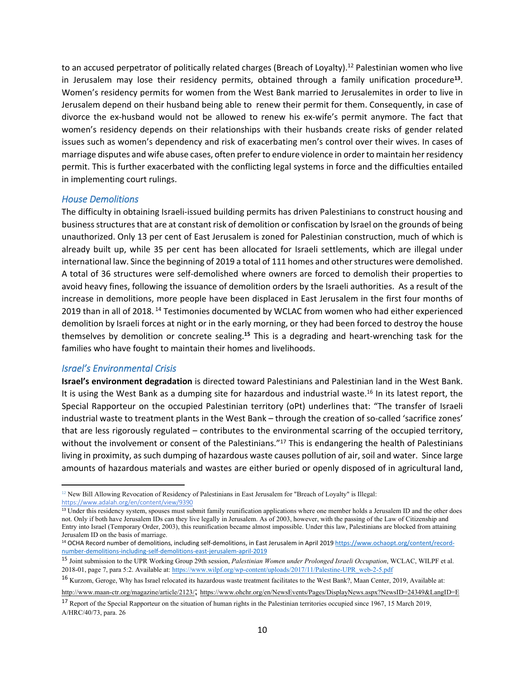to an accused perpetrator of politically related charges (Breach of Loyalty).<sup>12</sup> Palestinian women who live in Jerusalem may lose their residency permits, obtained through a family unification procedure**<sup>13</sup>** . Women's residency permits for women from the West Bank married to Jerusalemites in order to live in Jerusalem depend on their husband being able to renew their permit for them. Consequently, in case of divorce the ex-husband would not be allowed to renew his ex-wife's permit anymore. The fact that women's residency depends on their relationships with their husbands create risks of gender related issues such as women's dependency and risk of exacerbating men's control over their wives. In cases of marriage disputes and wife abuse cases, often prefer to endure violence in order to maintain her residency permit. This is further exacerbated with the conflicting legal systems in force and the difficulties entailed in implementing court rulings.

#### *House Demolitions*

The difficulty in obtaining Israeli-issued building permits has driven Palestinians to construct housing and business structures that are at constant risk of demolition or confiscation by Israel on the grounds of being unauthorized. Only 13 per cent of East Jerusalem is zoned for Palestinian construction, much of which is already built up, while 35 per cent has been allocated for Israeli settlements, which are illegal under international law. Since the beginning of 2019 a total of 111 homes and other structures were demolished. A total of 36 structures were self-demolished where owners are forced to demolish their properties to avoid heavy fines, following the issuance of demolition orders by the Israeli authorities. As a result of the increase in demolitions, more people have been displaced in East Jerusalem in the first four months of 2019 than in all of 2018.<sup>14</sup> Testimonies documented by WCLAC from women who had either experienced demolition by Israeli forces at night or in the early morning, or they had been forced to destroy the house themselves by demolition or concrete sealing.**<sup>15</sup>** This is a degrading and heart-wrenching task for the families who have fought to maintain their homes and livelihoods.

#### *Israel's Environmental Crisis*

**Israel's environment degradation** is directed toward Palestinians and Palestinian land in the West Bank. It is using the West Bank as a dumping site for hazardous and industrial waste.<sup>16</sup> In its latest report, the Special Rapporteur on the occupied Palestinian territory (oPt) underlines that: "The transfer of Israeli industrial waste to treatment plants in the West Bank – through the creation of so-called 'sacrifice zones' that are less rigorously regulated – contributes to the environmental scarring of the occupied territory, without the involvement or consent of the Palestinians."<sup>17</sup> This is endangering the health of Palestinians living in proximity, as such dumping of hazardous waste causes pollution of air, soil and water. Since large amounts of hazardous materials and wastes are either buried or openly disposed of in agricultural land,

<sup>12</sup> New Bill Allowing Revocation of Residency of Palestinians in East Jerusalem for "Breach of Loyalty" is Illegal: <https://www.adalah.org/en/content/view/9390>

<sup>&</sup>lt;sup>13</sup> Under this residency system, spouses must submit family reunification applications where one member holds a Jerusalem ID and the other does not. Only if both have Jerusalem IDs can they live legally in Jerusalem. As of 2003, however, with the passing of the Law of Citizenship and Entry into Israel (Temporary Order, 2003), this reunification became almost impossible. Under this law, Palestinians are blocked from attaining Jerusalem ID on the basis of marriage.

<sup>&</sup>lt;sup>14</sup> OCHA Record number of demolitions, including self-demolitions, in East Jerusalem in April 2019 [https://www.ochaopt.org/content/record](https://www.ochaopt.org/content/record-number-demolitions-including-self-demolitions-east-jerusalem-april-2019)[number-demolitions-including-self-demolitions-east-jerusalem-april-2019](https://www.ochaopt.org/content/record-number-demolitions-including-self-demolitions-east-jerusalem-april-2019)

<sup>15</sup> Joint submission to the UPR Working Group 29th session, *Palestinian Women under Prolonged Israeli Occupation*, WCLAC, WILPF et al. 2018-01, page 7, para 5:2. Available at: [https://www.wilpf.org/wp-content/uploads/2017/11/Palestine-UPR\\_web-2-5.pdf](https://www.wilpf.org/wp-content/uploads/2017/11/Palestine-UPR_web-2-5.pdf)

<sup>16</sup> Kurzom, Geroge, Why has Israel relocated its hazardous waste treatment facilitates to the West Bank?, Maan Center, 2019, Available at:

<http://www.maan-ctr.org/magazine/article/2123/>; <https://www.ohchr.org/en/NewsEvents/Pages/DisplayNews.aspx?NewsID=24349&LangID=E>

<sup>17</sup> Report of the Special Rapporteur on the situation of human rights in the Palestinian territories occupied since 1967, 15 March 2019, A/HRC/40/73, para. 26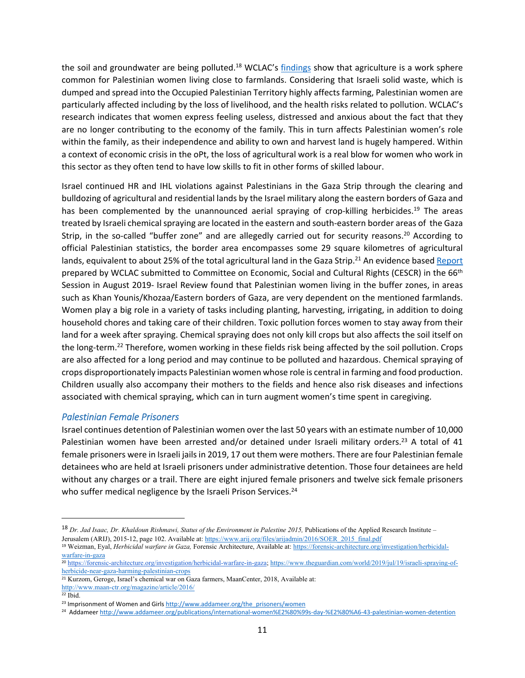the soil and groundwater are being polluted.<sup>18</sup> WCLAC's [findings](http://www.wclac.org/files/library/19/10/yekz3kqu2vf4q0o3xolozc.pdf) show that agriculture is a work sphere common for Palestinian women living close to farmlands. Considering that Israeli solid waste, which is dumped and spread into the Occupied Palestinian Territory highly affects farming, Palestinian women are particularly affected including by the loss of livelihood, and the health risks related to pollution. WCLAC's research indicates that women express feeling useless, distressed and anxious about the fact that they are no longer contributing to the economy of the family. This in turn affects Palestinian women's role within the family, as their independence and ability to own and harvest land is hugely hampered. Within a context of economic crisis in the oPt, the loss of agricultural work is a real blow for women who work in this sector as they often tend to have low skills to fit in other forms of skilled labour.

Israel continued HR and IHL violations against Palestinians in the Gaza Strip through the clearing and bulldozing of agricultural and residential lands by the Israel military along the eastern borders of Gaza and has been complemented by the unannounced aerial spraying of crop-killing herbicides.<sup>19</sup> The areas treated by Israeli chemical spraying are located in the eastern and south-eastern border areas of the Gaza Strip, in the so-called "buffer zone" and are allegedly carried out for security reasons.<sup>20</sup> According to official Palestinian statistics, the border area encompasses some 29 square kilometres of agricultural lands, equivalent to about 25% of the total agricultural land in the Gaza Strip.<sup>21</sup> An evidence based [Report](http://www.wclac.org/files/library/19/10/yekz3kqu2vf4q0o3xolozc.pdf) prepared by WCLAC submitted to Committee on Economic, Social and Cultural Rights (CESCR) in the 66<sup>th</sup> Session in August 2019- Israel Review found that Palestinian women living in the buffer zones, in areas such as Khan Younis/Khozaa/Eastern borders of Gaza, are very dependent on the mentioned farmlands. Women play a big role in a variety of tasks including planting, harvesting, irrigating, in addition to doing household chores and taking care of their children. Toxic pollution forces women to stay away from their land for a week after spraying. Chemical spraying does not only kill crops but also affects the soil itself on the long-term.<sup>22</sup> Therefore, women working in these fields risk being affected by the soil pollution. Crops are also affected for a long period and may continue to be polluted and hazardous. Chemical spraying of crops disproportionately impacts Palestinian women whose role is central in farming and food production. Children usually also accompany their mothers to the fields and hence also risk diseases and infections associated with chemical spraying, which can in turn augment women's time spent in caregiving.

#### *Palestinian Female Prisoners*

Israel continues detention of Palestinian women over the last 50 years with an estimate number of 10,000 Palestinian women have been arrested and/or detained under Israeli military orders.<sup>23</sup> A total of 41 female prisoners were in Israeli jails in 2019, 17 out them were mothers. There are four Palestinian female detainees who are held at Israeli prisoners under administrative detention. Those four detainees are held without any charges or a trail. There are eight injured female prisoners and twelve sick female prisoners who suffer medical negligence by the Israeli Prison Services.<sup>24</sup>

<sup>&</sup>lt;sup>18</sup> *Dr. Jad Isaac, Dr. Khaldoun Rishmawi, Status of the Environment in Palestine 2015*, Publications of the Applied Research Institute – Jerusalem (ARIJ), 2015-12, page 102. Available at: [https://www.arij.org/files/arijadmin/2016/SOER\\_2015\\_final.pdf](https://www.arij.org/files/arijadmin/2016/SOER_2015_final.pdf)

<sup>19</sup> Weizman, Eyal, *Herbicidal warfare in Gaza,* Forensic Architecture, Available at: [https://forensic-architecture.org/investigation/herbicidal](https://forensic-architecture.org/investigation/herbicidal-warfare-in-gaza)[warfare-in-gaza](https://forensic-architecture.org/investigation/herbicidal-warfare-in-gaza) 

<sup>20</sup> <https://forensic-architecture.org/investigation/herbicidal-warfare-in-gaza>; [https://www.theguardian.com/world/2019/jul/19/israeli-spraying-of](https://www.theguardian.com/world/2019/jul/19/israeli-spraying-of-herbicide-near-gaza-harming-palestinian-crops)[herbicide-near-gaza-harming-palestinian-crops](https://www.theguardian.com/world/2019/jul/19/israeli-spraying-of-herbicide-near-gaza-harming-palestinian-crops)

<sup>21</sup> Kurzom, Geroge, Israel's chemical war on Gaza farmers, MaanCenter, 2018, Available at:

<http://www.maan-ctr.org/magazine/article/2016/>

 $22$  Ibid.

<sup>&</sup>lt;sup>23</sup> Imprisonment of Women and Girls [http://www.addameer.org/the\\_prisoners/women](http://www.addameer.org/the_prisoners/women)

<sup>24</sup> Addameer <http://www.addameer.org/publications/international-women%E2%80%99s-day-%E2%80%A6-43-palestinian-women-detention>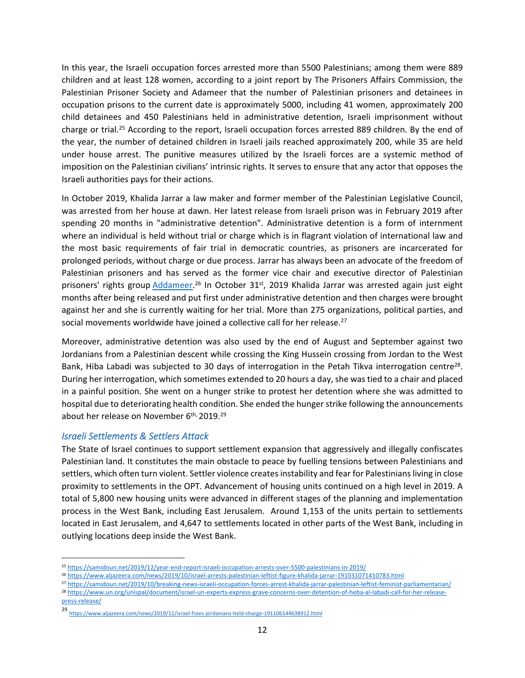In this year, the Israeli occupation forces arrested more than 5500 Palestinians; among them were 889 children and at least 128 women, according to a joint report by The Prisoners Affairs Commission, the Palestinian Prisoner Society and Adameer that the number of Palestinian prisoners and detainees in occupation prisons to the current date is approximately 5000, including 41 women, approximately 200 child detainees and 450 Palestinians held in administrative detention, Israeli imprisonment without charge or trial.<sup>25</sup> According to the report, Israeli occupation forces arrested 889 children. By the end of the year, the number of detained children in Israeli jails reached approximately 200, while 35 are held under house arrest. The punitive measures utilized by the Israeli forces are a systemic method of imposition on the Palestinian civilians' intrinsic rights. It serves to ensure that any actor that opposes the Israeli authorities pays for their actions.

In October 2019, Khalida Jarrar a law maker and former member of the Palestinian Legislative Council, was arrested from her house at dawn. Her latest release from Israeli prison was in February 2019 after spending 20 months in "administrative detention". Administrative detention is a form of internment where an individual is held without trial or charge which is in flagrant violation of international law and the most basic requirements of fair trial in democratic countries, as prisoners are incarcerated for prolonged periods, without charge or due process. Jarrar has always been an advocate of the freedom of Palestinian prisoners and has served as the former vice chair and executive director of Palestinian prisoners' rights group [Addameer.](http://addameer.org/)<sup>26</sup> In October 31<sup>st</sup>, 2019 Khalida Jarrar was arrested again just eight months after being released and put first under administrative detention and then charges were brought against her and she is currently waiting for her trial. More than 275 organizations, political parties, and social movements worldwide have joined a collective call for her release.<sup>27</sup>

Moreover, administrative detention was also used by the end of August and September against two Jordanians from a Palestinian descent while crossing the King Hussein crossing from Jordan to the West Bank, Hiba Labadi was subjected to 30 days of interrogation in the Petah Tikva interrogation centre<sup>28</sup>. During her interrogation, which sometimes extended to 20 hours a day, she was tied to a chair and placed in a painful position. She went on a hunger strike to protest her detention where she was admitted to hospital due to deteriorating health condition. She ended the hunger strike following the announcements about her release on November 6<sup>th,</sup> 2019.<sup>29</sup>

#### *Israeli Settlements & Settlers Attack*

The State of Israel continues to support settlement expansion that aggressively and illegally confiscates Palestinian land. It constitutes the main obstacle to peace by fuelling tensions between Palestinians and settlers, which often turn violent. Settler violence creates instability and fear for Palestinians living in close proximity to settlements in the OPT. Advancement of housing units continued on a high level in 2019. A total of 5,800 new housing units were advanced in different stages of the planning and implementation process in the West Bank, including East Jerusalem. Around 1,153 of the units pertain to settlements located in East Jerusalem, and 4,647 to settlements located in other parts of the West Bank, including in outlying locations deep inside the West Bank.

<sup>25</sup> <https://samidoun.net/2019/12/year-end-report-israeli-occupation-arrests-over-5500-palestinians-in-2019/>

<sup>26</sup> <https://www.aljazeera.com/news/2019/10/israel-arrests-palestinian-leftist-figure-khalida-jarrar-191031071410783.html>

<sup>27</sup> <https://samidoun.net/2019/10/breaking-news-israeli-occupation-forces-arrest-khalida-jarrar-palestinian-leftist-feminist-parliamentarian/>

<sup>28</sup> [https://www.un.org/unispal/document/israel-un-experts-express-grave-concerns-over-detention-of-heba-al-labadi-call-for-her-release](https://www.un.org/unispal/document/israel-un-experts-express-grave-concerns-over-detention-of-heba-al-labadi-call-for-her-release-press-release/)[press-release/](https://www.un.org/unispal/document/israel-un-experts-express-grave-concerns-over-detention-of-heba-al-labadi-call-for-her-release-press-release/)

<sup>29</sup> <https://www.aljazeera.com/news/2019/11/israel-frees-jordanians-held-charge-191106144638912.html>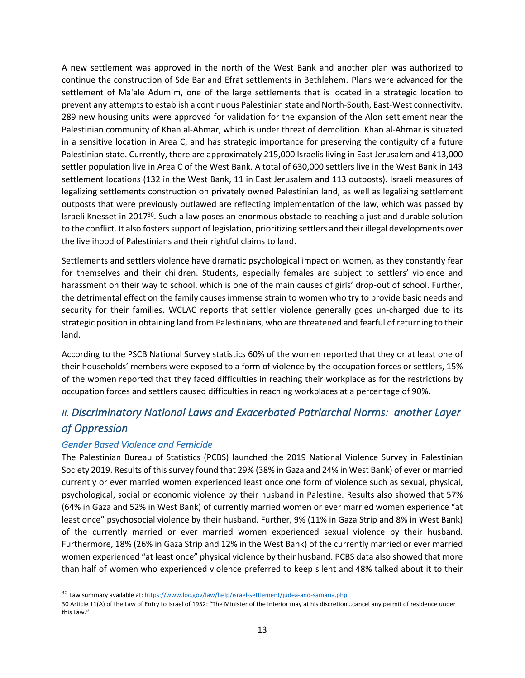A new settlement was approved in the north of the West Bank and another plan was authorized to continue the construction of Sde Bar and Efrat settlements in Bethlehem. Plans were advanced for the settlement of Ma'ale Adumim, one of the large settlements that is located in a strategic location to prevent any attempts to establish a continuous Palestinian state and North-South, East-West connectivity. 289 new housing units were approved for validation for the expansion of the Alon settlement near the Palestinian community of Khan al-Ahmar, which is under threat of demolition. Khan al-Ahmar is situated in a sensitive location in Area C, and has strategic importance for preserving the contiguity of a future Palestinian state. Currently, there are approximately 215,000 Israelis living in East Jerusalem and 413,000 settler population live in Area C of the West Bank. A total of 630,000 settlers live in the West Bank in 143 settlement locations (132 in the West Bank, 11 in East Jerusalem and 113 outposts). Israeli measures of legalizing settlements construction on privately owned Palestinian land, as well as legalizing settlement outposts that were previously outlawed are reflecting implementation of the law, which was passed by Israeli Knesset in 2017<sup>30</sup>. Such a law poses an enormous obstacle to reaching a just and durable solution to the conflict. It also fosters support of legislation, prioritizing settlers and their illegal developments over the livelihood of Palestinians and their rightful claims to land.

Settlements and settlers violence have dramatic psychological impact on women, as they constantly fear for themselves and their children. Students, especially females are subject to settlers' violence and harassment on their way to school, which is one of the main causes of girls' drop-out of school. Further, the detrimental effect on the family causes immense strain to women who try to provide basic needs and security for their families. WCLAC reports that settler violence generally goes un-charged due to its strategic position in obtaining land from Palestinians, who are threatened and fearful of returning to their land.

According to the PSCB National Survey statistics 60% of the women reported that they or at least one of their households' members were exposed to a form of violence by the occupation forces or settlers, 15% of the women reported that they faced difficulties in reaching their workplace as for the restrictions by occupation forces and settlers caused difficulties in reaching workplaces at a percentage of 90%.

### *II. Discriminatory National Laws and Exacerbated Patriarchal Norms: another Layer of Oppression*

#### *Gender Based Violence and Femicide*

The Palestinian Bureau of Statistics (PCBS) launched the 2019 National Violence Survey in Palestinian Society 2019. Results of this survey found that 29% (38% in Gaza and 24% in West Bank) of ever or married currently or ever married women experienced least once one form of violence such as sexual, physical, psychological, social or economic violence by their husband in Palestine. Results also showed that 57% (64% in Gaza and 52% in West Bank) of currently married women or ever married women experience "at least once" psychosocial violence by their husband. Further, 9% (11% in Gaza Strip and 8% in West Bank) of the currently married or ever married women experienced sexual violence by their husband. Furthermore, 18% (26% in Gaza Strip and 12% in the West Bank) of the currently married or ever married women experienced "at least once" physical violence by their husband. PCBS data also showed that more than half of women who experienced violence preferred to keep silent and 48% talked about it to their

<sup>30</sup> Law summary available at: <https://www.loc.gov/law/help/israel-settlement/judea-and-samaria.php>

<sup>30</sup> Article 11(A) of the Law of Entry to Israel of 1952: "The Minister of the Interior may at his discretion…cancel any permit of residence under this Law."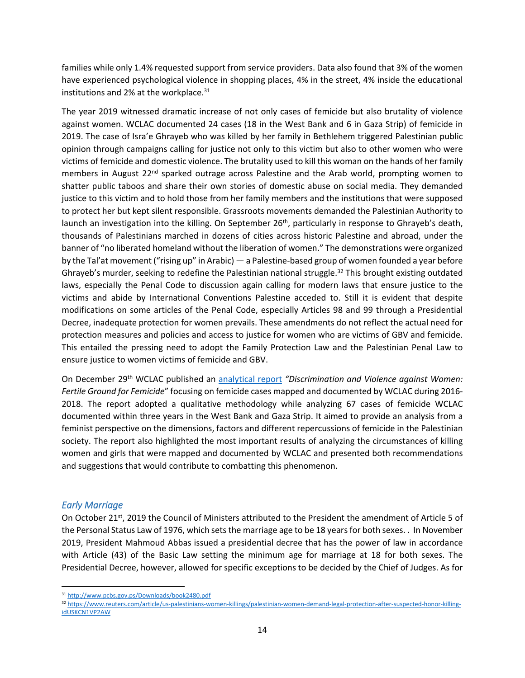families while only 1.4% requested support from service providers. Data also found that 3% of the women have experienced psychological violence in shopping places, 4% in the street, 4% inside the educational institutions and 2% at the workplace.<sup>31</sup>

The year 2019 witnessed dramatic increase of not only cases of femicide but also brutality of violence against women. WCLAC documented 24 cases (18 in the West Bank and 6 in Gaza Strip) of femicide in 2019. The case of Isra'e Ghrayeb who was killed by her family in Bethlehem triggered Palestinian public opinion through campaigns calling for justice not only to this victim but also to other women who were victims of femicide and domestic violence. The brutality used to kill this woman on the hands of her family members in August 22<sup>nd</sup> sparked outrage across Palestine and the Arab world, prompting women to shatter public taboos and share their own stories of domestic abuse on social media. They demanded justice to this victim and to hold those from her family members and the institutions that were supposed to protect her but kept silent responsible. Grassroots movements demanded the Palestinian Authority to launch an investigation into the killing. On September 26<sup>th</sup>, particularly in response to Ghrayeb's death, thousands of Palestinians marched in dozens of cities across historic Palestine and abroad, under the banner of "no liberated homeland without the liberation of women." The demonstrations were organized by the Tal'at movement ("rising up" in Arabic) — a Palestine-based group of women founded a year before Ghrayeb's murder, seeking to redefine the Palestinian national struggle.<sup>32</sup> This brought existing outdated laws, especially the Penal Code to discussion again calling for modern laws that ensure justice to the victims and abide by International Conventions Palestine acceded to. Still it is evident that despite modifications on some articles of the Penal Code, especially Articles 98 and 99 through a Presidential Decree, inadequate protection for women prevails. These amendments do not reflect the actual need for protection measures and policies and access to justice for women who are victims of GBV and femicide. This entailed the pressing need to adopt the Family Protection Law and the Palestinian Penal Law to ensure justice to women victims of femicide and GBV.

On December 29th WCLAC published an [analytical report](http://www.wclac.org/files/library/20/01/b12gjs8gyyppis7zjuv3p8.pdf) *"Discrimination and Violence against Women: Fertile Ground for Femicide*" focusing on femicide cases mapped and documented by WCLAC during 2016- 2018. The report adopted a qualitative methodology while analyzing 67 cases of femicide WCLAC documented within three years in the West Bank and Gaza Strip. It aimed to provide an analysis from a feminist perspective on the dimensions, factors and different repercussions of femicide in the Palestinian society. The report also highlighted the most important results of analyzing the circumstances of killing women and girls that were mapped and documented by WCLAC and presented both recommendations and suggestions that would contribute to combatting this phenomenon.

#### *Early Marriage*

On October 21st, 2019 the Council of Ministers attributed to the President the amendment of Article 5 of the Personal Status Law of 1976, which sets the marriage age to be 18 years for both sexes. . In November 2019, President Mahmoud Abbas issued a presidential decree that has the power of law in accordance with Article (43) of the Basic Law setting the minimum age for marriage at 18 for both sexes. The Presidential Decree, however, allowed for specific exceptions to be decided by the Chief of Judges. As for

<sup>31</sup> <http://www.pcbs.gov.ps/Downloads/book2480.pdf>

<sup>32</sup> [https://www.reuters.com/article/us-palestinians-women-killings/palestinian-women-demand-legal-protection-after-suspected-honor-killing](https://www.reuters.com/article/us-palestinians-women-killings/palestinian-women-demand-legal-protection-after-suspected-honor-killing-idUSKCN1VP2AW)[idUSKCN1VP2AW](https://www.reuters.com/article/us-palestinians-women-killings/palestinian-women-demand-legal-protection-after-suspected-honor-killing-idUSKCN1VP2AW)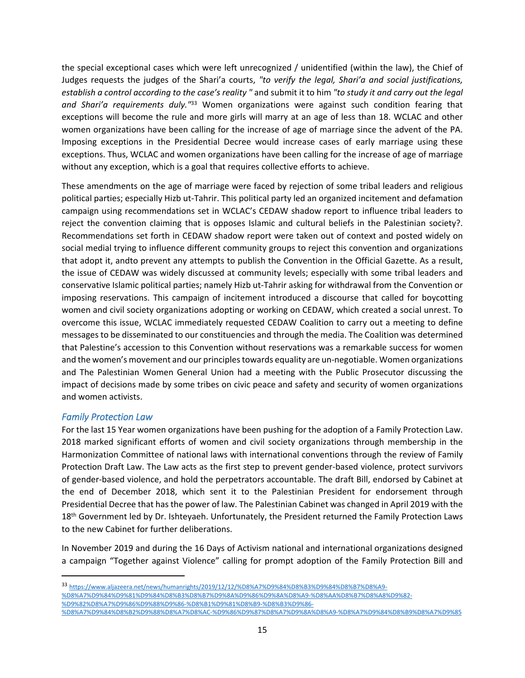the special exceptional cases which were left unrecognized / unidentified (within the law), the Chief of Judges requests the judges of the Shari'a courts, *"to verify the legal, Shari'a and social justifications, establish a control according to the case's reality "* and submit it to him *"to study it and carry out the legal and Shari'a requirements duly."*<sup>33</sup> Women organizations were against such condition fearing that exceptions will become the rule and more girls will marry at an age of less than 18. WCLAC and other women organizations have been calling for the increase of age of marriage since the advent of the PA. Imposing exceptions in the Presidential Decree would increase cases of early marriage using these exceptions. Thus, WCLAC and women organizations have been calling for the increase of age of marriage without any exception, which is a goal that requires collective efforts to achieve.

These amendments on the age of marriage were faced by rejection of some tribal leaders and religious political parties; especially Hizb ut-Tahrir. This political party led an organized incitement and defamation campaign using recommendations set in WCLAC's CEDAW shadow report to influence tribal leaders to reject the convention claiming that is opposes Islamic and cultural beliefs in the Palestinian society?. Recommendations set forth in CEDAW shadow report were taken out of context and posted widely on social medial trying to influence different community groups to reject this convention and organizations that adopt it, andto prevent any attempts to publish the Convention in the Official Gazette. As a result, the issue of CEDAW was widely discussed at community levels; especially with some tribal leaders and conservative Islamic political parties; namely Hizb ut-Tahrir asking for withdrawal from the Convention or imposing reservations. This campaign of incitement introduced a discourse that called for boycotting women and civil society organizations adopting or working on CEDAW, which created a social unrest. To overcome this issue, WCLAC immediately requested CEDAW Coalition to carry out a meeting to define messages to be disseminated to our constituencies and through the media. The Coalition was determined that Palestine's accession to this Convention without reservations was a remarkable success for women and the women's movement and our principles towards equality are un-negotiable. Women organizations and The Palestinian Women General Union had a meeting with the Public Prosecutor discussing the impact of decisions made by some tribes on civic peace and safety and security of women organizations and women activists.

#### *Family Protection Law*

For the last 15 Year women organizations have been pushing for the adoption of a Family Protection Law. 2018 marked significant efforts of women and civil society organizations through membership in the Harmonization Committee of national laws with international conventions through the review of Family Protection Draft Law. The Law acts as the first step to prevent gender-based violence, protect survivors of gender-based violence, and hold the perpetrators accountable. The draft Bill, endorsed by Cabinet at the end of December 2018, which sent it to the Palestinian President for endorsement through Presidential Decree that has the power of law. The Palestinian Cabinet was changed in April 2019 with the 18<sup>th</sup> Government led by Dr. Ishteyaeh. Unfortunately, the President returned the Family Protection Laws to the new Cabinet for further deliberations.

In November 2019 and during the 16 Days of Activism national and international organizations designed a campaign "Together against Violence" calling for prompt adoption of the Family Protection Bill and

<sup>33</sup> [https://www.aljazeera.net/news/humanrights/2019/12/12/%D8%A7%D9%84%D8%B3%D9%84%D8%B7%D8%A9-](https://www.aljazeera.net/news/humanrights/2019/12/12/%D8%A7%D9%84%D8%B3%D9%84%D8%B7%D8%A9-%D8%A7%D9%84%D9%81%D9%84%D8%B3%D8%B7%D9%8A%D9%86%D9%8A%D8%A9-%D8%AA%D8%B7%D8%A8%D9%82-%D9%82%D8%A7%D9%86%D9%88%D9%86-%D8%B1%D9%81%D8%B9-%D8%B3%D9%86-%D8%A7%D9%84%D8%B2%D9%88%D8%A7%D8%AC-%D9%86%D9%87%D8%A7%D9%8A%D8%A9-%D8%A7%D9%84%D8%B9%D8%A7%D9%85) [%D8%A7%D9%84%D9%81%D9%84%D8%B3%D8%B7%D9%8A%D9%86%D9%8A%D8%A9-%D8%AA%D8%B7%D8%A8%D9%82-](https://www.aljazeera.net/news/humanrights/2019/12/12/%D8%A7%D9%84%D8%B3%D9%84%D8%B7%D8%A9-%D8%A7%D9%84%D9%81%D9%84%D8%B3%D8%B7%D9%8A%D9%86%D9%8A%D8%A9-%D8%AA%D8%B7%D8%A8%D9%82-%D9%82%D8%A7%D9%86%D9%88%D9%86-%D8%B1%D9%81%D8%B9-%D8%B3%D9%86-%D8%A7%D9%84%D8%B2%D9%88%D8%A7%D8%AC-%D9%86%D9%87%D8%A7%D9%8A%D8%A9-%D8%A7%D9%84%D8%B9%D8%A7%D9%85) [%D9%82%D8%A7%D9%86%D9%88%D9%86-%D8%B1%D9%81%D8%B9-%D8%B3%D9%86-](https://www.aljazeera.net/news/humanrights/2019/12/12/%D8%A7%D9%84%D8%B3%D9%84%D8%B7%D8%A9-%D8%A7%D9%84%D9%81%D9%84%D8%B3%D8%B7%D9%8A%D9%86%D9%8A%D8%A9-%D8%AA%D8%B7%D8%A8%D9%82-%D9%82%D8%A7%D9%86%D9%88%D9%86-%D8%B1%D9%81%D8%B9-%D8%B3%D9%86-%D8%A7%D9%84%D8%B2%D9%88%D8%A7%D8%AC-%D9%86%D9%87%D8%A7%D9%8A%D8%A9-%D8%A7%D9%84%D8%B9%D8%A7%D9%85) [%D8%A7%D9%84%D8%B2%D9%88%D8%A7%D8%AC-%D9%86%D9%87%D8%A7%D9%8A%D8%A9-%D8%A7%D9%84%D8%B9%D8%A7%D9%85](https://www.aljazeera.net/news/humanrights/2019/12/12/%D8%A7%D9%84%D8%B3%D9%84%D8%B7%D8%A9-%D8%A7%D9%84%D9%81%D9%84%D8%B3%D8%B7%D9%8A%D9%86%D9%8A%D8%A9-%D8%AA%D8%B7%D8%A8%D9%82-%D9%82%D8%A7%D9%86%D9%88%D9%86-%D8%B1%D9%81%D8%B9-%D8%B3%D9%86-%D8%A7%D9%84%D8%B2%D9%88%D8%A7%D8%AC-%D9%86%D9%87%D8%A7%D9%8A%D8%A9-%D8%A7%D9%84%D8%B9%D8%A7%D9%85)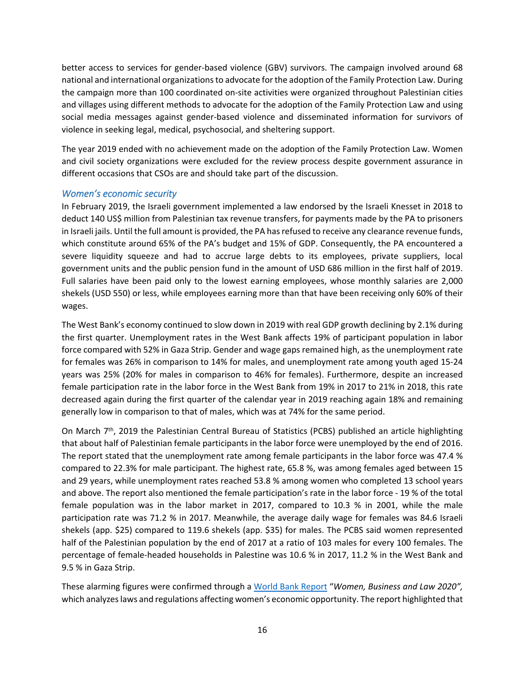better access to services for gender-based violence (GBV) survivors. The campaign involved around 68 national and international organizations to advocate for the adoption of the Family Protection Law. During the campaign more than 100 coordinated on-site activities were organized throughout Palestinian cities and villages using different methods to advocate for the adoption of the Family Protection Law and using social media messages against gender-based violence and disseminated information for survivors of violence in seeking legal, medical, psychosocial, and sheltering support.

The year 2019 ended with no achievement made on the adoption of the Family Protection Law. Women and civil society organizations were excluded for the review process despite government assurance in different occasions that CSOs are and should take part of the discussion.

#### *Women's economic security*

In February 2019, the Israeli government implemented a law endorsed by the Israeli Knesset in 2018 to deduct 140 US\$ million from Palestinian tax revenue transfers, for payments made by the PA to prisoners in Israeli jails. Until the full amount is provided, the PA has refused to receive any clearance revenue funds, which constitute around 65% of the PA's budget and 15% of GDP. Consequently, the PA encountered a severe liquidity squeeze and had to accrue large debts to its employees, private suppliers, local government units and the public pension fund in the amount of USD 686 million in the first half of 2019. Full salaries have been paid only to the lowest earning employees, whose monthly salaries are 2,000 shekels (USD 550) or less, while employees earning more than that have been receiving only 60% of their wages.

The West Bank's economy continued to slow down in 2019 with real GDP growth declining by 2.1% during the first quarter. Unemployment rates in the West Bank affects 19% of participant population in labor force compared with 52% in Gaza Strip. Gender and wage gaps remained high, as the unemployment rate for females was 26% in comparison to 14% for males, and unemployment rate among youth aged 15-24 years was 25% (20% for males in comparison to 46% for females). Furthermore, despite an increased female participation rate in the labor force in the West Bank from 19% in 2017 to 21% in 2018, this rate decreased again during the first quarter of the calendar year in 2019 reaching again 18% and remaining generally low in comparison to that of males, which was at 74% for the same period.

On March  $7<sup>th</sup>$ , 2019 the Palestinian Central Bureau of Statistics (PCBS) published an article highlighting that about half of Palestinian female participants in the labor force were unemployed by the end of 2016. The report stated that the unemployment rate among female participants in the labor force was 47.4 % compared to 22.3% for male participant. The highest rate, 65.8 %, was among females aged between 15 and 29 years, while unemployment rates reached 53.8 % among women who completed 13 school years and above. The report also mentioned the female participation's rate in the labor force - 19 % of the total female population was in the labor market in 2017, compared to 10.3 % in 2001, while the male participation rate was 71.2 % in 2017. Meanwhile, the average daily wage for females was 84.6 Israeli shekels (app. \$25) compared to 119.6 shekels (app. \$35) for males. The PCBS said women represented half of the Palestinian population by the end of 2017 at a ratio of 103 males for every 100 females. The percentage of female-headed households in Palestine was 10.6 % in 2017, 11.2 % in the West Bank and 9.5 % in Gaza Strip.

These alarming figures were confirmed through a [World Bank Report](https://openknowledge.worldbank.org/bitstream/handle/10986/32639/9781464815324.pdf) "*Women, Business and Law 2020",* which analyzes laws and regulations affecting women's economic opportunity. The report highlighted that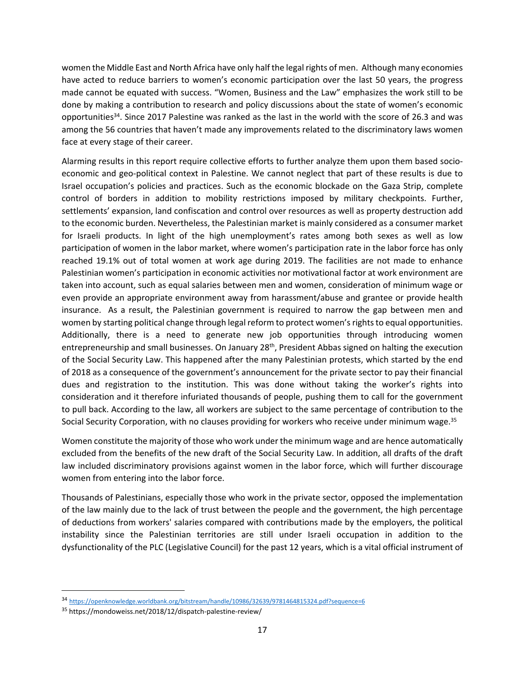women the Middle East and North Africa have only half the legal rights of men. Although many economies have acted to reduce barriers to women's economic participation over the last 50 years, the progress made cannot be equated with success. "Women, Business and the Law" emphasizes the work still to be done by making a contribution to research and policy discussions about the state of women's economic opportunities<sup>34</sup>. Since 2017 Palestine was ranked as the last in the world with the score of 26.3 and was among the 56 countries that haven't made any improvements related to the discriminatory laws women face at every stage of their career.

Alarming results in this report require collective efforts to further analyze them upon them based socioeconomic and geo-political context in Palestine. We cannot neglect that part of these results is due to Israel occupation's policies and practices. Such as the economic blockade on the Gaza Strip, complete control of borders in addition to mobility restrictions imposed by military checkpoints. Further, settlements' expansion, land confiscation and control over resources as well as property destruction add to the economic burden. Nevertheless, the Palestinian market is mainly considered as a consumer market for Israeli products. In light of the high unemployment's rates among both sexes as well as low participation of women in the labor market, where women's participation rate in the labor force has only reached 19.1% out of total women at work age during 2019. The facilities are not made to enhance Palestinian women's participation in economic activities nor motivational factor at work environment are taken into account, such as equal salaries between men and women, consideration of minimum wage or even provide an appropriate environment away from harassment/abuse and grantee or provide health insurance. As a result, the Palestinian government is required to narrow the gap between men and women by starting political change through legal reform to protect women's rights to equal opportunities. Additionally, there is a need to generate new job opportunities through introducing women entrepreneurship and small businesses. On January 28th, President Abbas signed on halting the execution of the Social Security Law. This happened after the many Palestinian protests, which started by the end of 2018 as a consequence of the government's announcement for the private sector to pay their financial dues and registration to the institution. This was done without taking the worker's rights into consideration and it therefore infuriated thousands of people, pushing them to call for the government to pull back. According to the law, all workers are subject to the same percentage of contribution to the Social Security Corporation, with no clauses providing for workers who receive under minimum wage.<sup>35</sup>

Women constitute the majority of those who work under the minimum wage and are hence automatically excluded from the benefits of the new draft of the Social Security Law. In addition, all drafts of the draft law included discriminatory provisions against women in the labor force, which will further discourage women from entering into the labor force.

Thousands of Palestinians, especially those who work in the private sector, opposed the implementation of the law mainly due to the lack of trust between the people and the government, the high percentage of deductions from workers' salaries compared with contributions made by the employers, the political instability since the Palestinian territories are still under Israeli occupation in addition to the dysfunctionality of the PLC (Legislative Council) for the past 12 years, which is a vital official instrument of

<sup>34</sup> <https://openknowledge.worldbank.org/bitstream/handle/10986/32639/9781464815324.pdf?sequence=6>

<sup>35</sup> <https://mondoweiss.net/2018/12/dispatch-palestine-review/>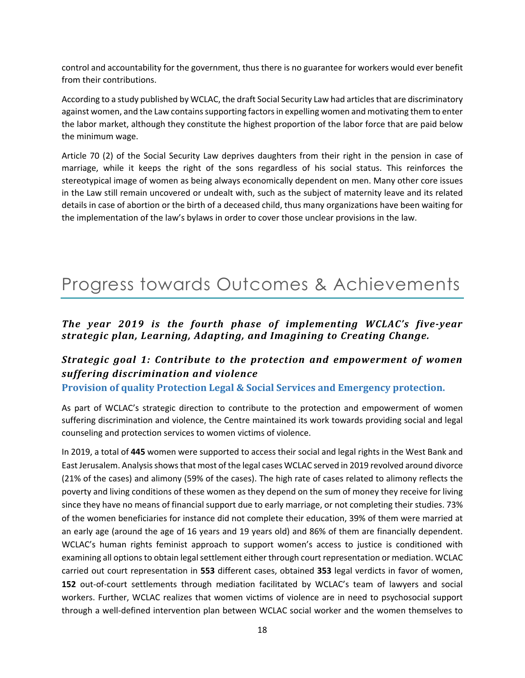control and accountability for the government, thus there is no guarantee for workers would ever benefit from their contributions.

According to a study published by WCLAC, the draft Social Security Law had articles that are discriminatory against women, and the Law contains supporting factors in expelling women and motivating them to enter the labor market, although they constitute the highest proportion of the labor force that are paid below the minimum wage.

Article 70 (2) of the Social Security Law deprives daughters from their right in the pension in case of marriage, while it keeps the right of the sons regardless of his social status. This reinforces the stereotypical image of women as being always economically dependent on men. Many other core issues in the Law still remain uncovered or undealt with, such as the subject of maternity leave and its related details in case of abortion or the birth of a deceased child, thus many organizations have been waiting for the implementation of the law's bylaws in order to cover those unclear provisions in the law.

# Progress towards Outcomes & Achievements

#### *The year 2019 is the fourth phase of implementing WCLAC's five-year strategic plan, Learning, Adapting, and Imagining to Creating Change.*

### *Strategic goal 1: Contribute to the protection and empowerment of women suffering discrimination and violence*

**Provision of quality Protection Legal & Social Services and Emergency protection.** 

As part of WCLAC's strategic direction to contribute to the protection and empowerment of women suffering discrimination and violence, the Centre maintained its work towards providing social and legal counseling and protection services to women victims of violence.

In 2019, a total of **445** women were supported to access their social and legal rights in the West Bank and East Jerusalem. Analysis shows that most of the legal cases WCLAC served in 2019 revolved around divorce (21% of the cases) and alimony (59% of the cases). The high rate of cases related to alimony reflects the poverty and living conditions of these women as they depend on the sum of money they receive for living since they have no means of financial support due to early marriage, or not completing their studies. 73% of the women beneficiaries for instance did not complete their education, 39% of them were married at an early age (around the age of 16 years and 19 years old) and 86% of them are financially dependent. WCLAC's human rights feminist approach to support women's access to justice is conditioned with examining all options to obtain legal settlement either through court representation or mediation. WCLAC carried out court representation in **553** different cases, obtained **353** legal verdicts in favor of women, **152** out-of-court settlements through mediation facilitated by WCLAC's team of lawyers and social workers. Further, WCLAC realizes that women victims of violence are in need to psychosocial support through a well-defined intervention plan between WCLAC social worker and the women themselves to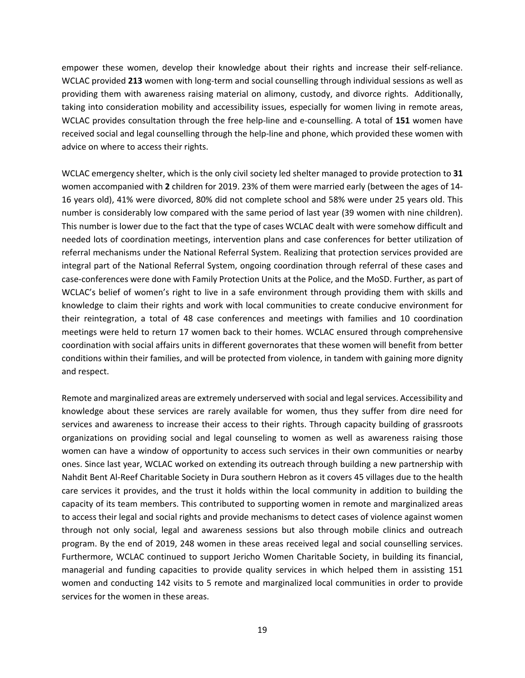empower these women, develop their knowledge about their rights and increase their self-reliance. WCLAC provided **213** women with long-term and social counselling through individual sessions as well as providing them with awareness raising material on alimony, custody, and divorce rights. Additionally, taking into consideration mobility and accessibility issues, especially for women living in remote areas, WCLAC provides consultation through the free help-line and e-counselling. A total of **151** women have received social and legal counselling through the help-line and phone, which provided these women with advice on where to access their rights.

WCLAC emergency shelter, which is the only civil society led shelter managed to provide protection to **31** women accompanied with **2** children for 2019. 23% of them were married early (between the ages of 14- 16 years old), 41% were divorced, 80% did not complete school and 58% were under 25 years old. This number is considerably low compared with the same period of last year (39 women with nine children). This number is lower due to the fact that the type of cases WCLAC dealt with were somehow difficult and needed lots of coordination meetings, intervention plans and case conferences for better utilization of referral mechanisms under the National Referral System. Realizing that protection services provided are integral part of the National Referral System, ongoing coordination through referral of these cases and case-conferences were done with Family Protection Units at the Police, and the MoSD. Further, as part of WCLAC's belief of women's right to live in a safe environment through providing them with skills and knowledge to claim their rights and work with local communities to create conducive environment for their reintegration, a total of 48 case conferences and meetings with families and 10 coordination meetings were held to return 17 women back to their homes. WCLAC ensured through comprehensive coordination with social affairs units in different governorates that these women will benefit from better conditions within their families, and will be protected from violence, in tandem with gaining more dignity and respect.

Remote and marginalized areas are extremely underserved with social and legal services. Accessibility and knowledge about these services are rarely available for women, thus they suffer from dire need for services and awareness to increase their access to their rights. Through capacity building of grassroots organizations on providing social and legal counseling to women as well as awareness raising those women can have a window of opportunity to access such services in their own communities or nearby ones. Since last year, WCLAC worked on extending its outreach through building a new partnership with Nahdit Bent Al-Reef Charitable Society in Dura southern Hebron as it covers 45 villages due to the health care services it provides, and the trust it holds within the local community in addition to building the capacity of its team members. This contributed to supporting women in remote and marginalized areas to access their legal and social rights and provide mechanisms to detect cases of violence against women through not only social, legal and awareness sessions but also through mobile clinics and outreach program. By the end of 2019, 248 women in these areas received legal and social counselling services. Furthermore, WCLAC continued to support Jericho Women Charitable Society, in building its financial, managerial and funding capacities to provide quality services in which helped them in assisting 151 women and conducting 142 visits to 5 remote and marginalized local communities in order to provide services for the women in these areas.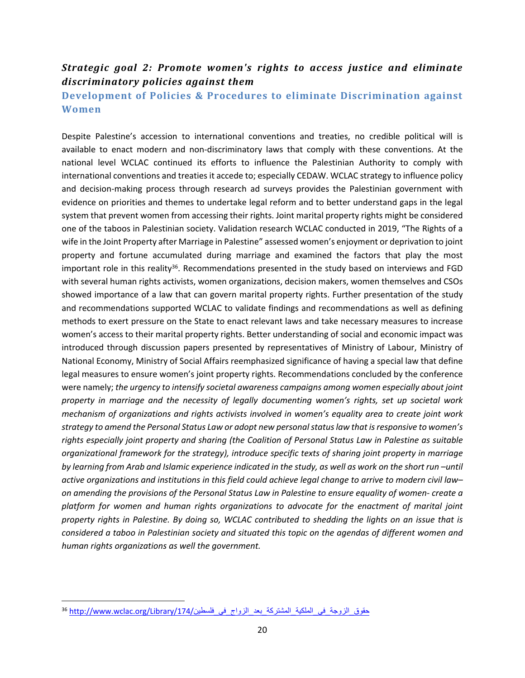### *Strategic goal 2: Promote women's rights to access justice and eliminate discriminatory policies against them*

### **Development of Policies & Procedures to eliminate Discrimination against Women**

Despite Palestine's accession to international conventions and treaties, no credible political will is available to enact modern and non-discriminatory laws that comply with these conventions. At the national level WCLAC continued its efforts to influence the Palestinian Authority to comply with international conventions and treaties it accede to; especially CEDAW. WCLAC strategy to influence policy and decision-making process through research ad surveys provides the Palestinian government with evidence on priorities and themes to undertake legal reform and to better understand gaps in the legal system that prevent women from accessing their rights. Joint marital property rights might be considered one of the taboos in Palestinian society. Validation research WCLAC conducted in 2019, "The Rights of a wife in the Joint Property after Marriage in Palestine" assessed women's enjoyment or deprivation to joint property and fortune accumulated during marriage and examined the factors that play the most important role in this reality<sup>36</sup>. Recommendations presented in the study based on interviews and FGD with several human rights activists, women organizations, decision makers, women themselves and CSOs showed importance of a law that can govern marital property rights. Further presentation of the study and recommendations supported WCLAC to validate findings and recommendations as well as defining methods to exert pressure on the State to enact relevant laws and take necessary measures to increase women's access to their marital property rights. Better understanding of social and economic impact was introduced through discussion papers presented by representatives of Ministry of Labour, Ministry of National Economy, Ministry of Social Affairs reemphasized significance of having a special law that define legal measures to ensure women's joint property rights. Recommendations concluded by the conference were namely; *the urgency to intensify societal awareness campaigns among women especially about joint property in marriage and the necessity of legally documenting women's rights, set up societal work mechanism of organizations and rights activists involved in women's equality area to create joint work strategy to amend the Personal Status Law or adopt new personal status law that is responsive to women's rights especially joint property and sharing (the Coalition of Personal Status Law in Palestine as suitable organizational framework for the strategy), introduce specific texts of sharing joint property in marriage by learning from Arab and Islamic experience indicated in the study, as well as work on the short run –until active organizations and institutions in this field could achieve legal change to arrive to modern civil law– on amending the provisions of the Personal Status Law in Palestine to ensure equality of women*- *create a platform for women and human rights organizations to advocate for the enactment of marital joint property rights in Palestine. By doing so, WCLAC contributed to shedding the lights on an issue that is considered a taboo in Palestinian society and situated this topic on the agendas of different women and human rights organizations as well the government.* 

حقوق الزوجة في الملكية المشتركة بعد الزواج في فلسطين/174/Library/ م174. و36 http://www.wclac.org/Library/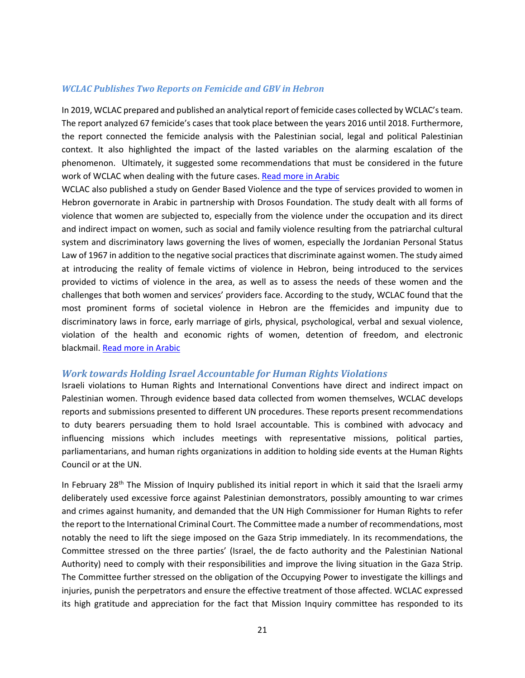#### *WCLAC Publishes Two Reports on Femicide and GBV in Hebron*

In 2019, WCLAC prepared and published an analytical report of femicide cases collected by WCLAC's team. The report analyzed 67 femicide's cases that took place between the years 2016 until 2018. Furthermore, the report connected the femicide analysis with the Palestinian social, legal and political Palestinian context. It also highlighted the impact of the lasted variables on the alarming escalation of the phenomenon. Ultimately, it suggested some recommendations that must be considered in the future work of WCLAC when dealing with the future cases. [Read more in Arabic](http://www.wclac.org/Library/179/%D8%A7%D9%84%D8%AA%D9%85%D9%8A%D9%8A%D8%B2_%D9%88%D8%A7%D9%84%D8%B9%D9%86%D9%81_%D8%B6%D8%AF_%D8%A7%D9%84%D9%86%D8%B3%D8%A7%D8%A1%D8%AA%D8%B1%D8%A8%D8%A9_%D8%A7%D9%84%D9%82%D8%AA%D9%84_%D8%A7%D9%84%D8%AE%D8%B5%D8%A8%D8%A9)

WCLAC also published a study on Gender Based Violence and the type of services provided to women in Hebron governorate in Arabic in partnership with Drosos Foundation. The study dealt with all forms of violence that women are subjected to, especially from the violence under the occupation and its direct and indirect impact on women, such as social and family violence resulting from the patriarchal cultural system and discriminatory laws governing the lives of women, especially the Jordanian Personal Status Law of 1967 in addition to the negative social practices that discriminate against women. The study aimed at introducing the reality of female victims of violence in Hebron, being introduced to the services provided to victims of violence in the area, as well as to assess the needs of these women and the challenges that both women and services' providers face. According to the study, WCLAC found that the most prominent forms of societal violence in Hebron are the ffemicides and impunity due to discriminatory laws in force, early marriage of girls, physical, psychological, verbal and sexual violence, violation of the health and economic rights of women, detention of freedom, and electronic blackmail. [Read more in Arabic](http://www.wclac.org/Library/177/%D8%A7%D9%84%D8%B9%D9%86%D9%81_%D9%88%D8%A7%D9%84%D8%AE%D8%AF%D9%85%D8%A7%D8%AA_%D8%A7%D9%84%D9%85%D9%82%D8%AF%D9%85%D8%A9_%D9%84%D9%84%D9%86%D8%B3%D8%A7%D8%A1_%D9%81%D9%8A_%D9%85%D8%AD%D8%A7%D9%81%D8%B8%D8%A9_%D8%A7%D9%84%D8%AE%D9%84%D9%8A%D9%84)

#### *Work towards Holding Israel Accountable for Human Rights Violations*

Israeli violations to Human Rights and International Conventions have direct and indirect impact on Palestinian women. Through evidence based data collected from women themselves, WCLAC develops reports and submissions presented to different UN procedures. These reports present recommendations to duty bearers persuading them to hold Israel accountable. This is combined with advocacy and influencing missions which includes meetings with representative missions, political parties, parliamentarians, and human rights organizations in addition to holding side events at the Human Rights Council or at the UN.

In February 28<sup>th</sup> The Mission of Inquiry published its initial report in which it said that the Israeli army deliberately used excessive force against Palestinian demonstrators, possibly amounting to war crimes and crimes against humanity, and demanded that the UN High Commissioner for Human Rights to refer the report to the International Criminal Court. The Committee made a number of recommendations, most notably the need to lift the siege imposed on the Gaza Strip immediately. In its recommendations, the Committee stressed on the three parties' (Israel, the de facto authority and the Palestinian National Authority) need to comply with their responsibilities and improve the living situation in the Gaza Strip. The Committee further stressed on the obligation of the Occupying Power to investigate the killings and injuries, punish the perpetrators and ensure the effective treatment of those affected. WCLAC expressed its high gratitude and appreciation for the fact that Mission Inquiry committee has responded to its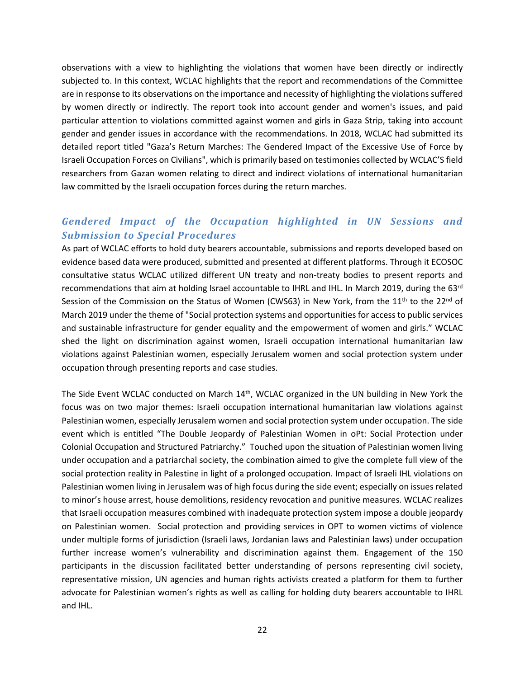observations with a view to highlighting the violations that women have been directly or indirectly subjected to. In this context, WCLAC highlights that the report and recommendations of the Committee are in response to its observations on the importance and necessity of highlighting the violations suffered by women directly or indirectly. The report took into account gender and women's issues, and paid particular attention to violations committed against women and girls in Gaza Strip, taking into account gender and gender issues in accordance with the recommendations. In 2018, WCLAC had submitted its detailed report titled "Gaza's Return Marches: The Gendered Impact of the Excessive Use of Force by Israeli Occupation Forces on Civilians", which is primarily based on testimonies collected by WCLAC'S field researchers from Gazan women relating to direct and indirect violations of international humanitarian law committed by the Israeli occupation forces during the return marches.

### *Gendered Impact of the Occupation highlighted in UN Sessions and Submission to Special Procedures*

As part of WCLAC efforts to hold duty bearers accountable, submissions and reports developed based on evidence based data were produced, submitted and presented at different platforms. Through it ECOSOC consultative status WCLAC utilized different UN treaty and non-treaty bodies to present reports and recommendations that aim at holding Israel accountable to IHRL and IHL. In March 2019, during the 63rd Session of the Commission on the Status of Women (CWS63) in New York, from the 11<sup>th</sup> to the 22<sup>nd</sup> of March 2019 under the theme of "Social protection systems and opportunities for access to public services and sustainable infrastructure for gender equality and the empowerment of women and girls." WCLAC shed the light on discrimination against women, Israeli occupation international humanitarian law violations against Palestinian women, especially Jerusalem women and social protection system under occupation through presenting reports and case studies.

The Side Event WCLAC conducted on March 14<sup>th</sup>, WCLAC organized in the UN building in New York the focus was on two major themes: Israeli occupation international humanitarian law violations against Palestinian women, especially Jerusalem women and social protection system under occupation. The side event which is entitled "The Double Jeopardy of Palestinian Women in oPt: Social Protection under Colonial Occupation and Structured Patriarchy." Touched upon the situation of Palestinian women living under occupation and a patriarchal society, the combination aimed to give the complete full view of the social protection reality in Palestine in light of a prolonged occupation. Impact of Israeli IHL violations on Palestinian women living in Jerusalem was of high focus during the side event; especially on issues related to minor's house arrest, house demolitions, residency revocation and punitive measures. WCLAC realizes that Israeli occupation measures combined with inadequate protection system impose a double jeopardy on Palestinian women. Social protection and providing services in OPT to women victims of violence under multiple forms of jurisdiction (Israeli laws, Jordanian laws and Palestinian laws) under occupation further increase women's vulnerability and discrimination against them. Engagement of the 150 participants in the discussion facilitated better understanding of persons representing civil society, representative mission, UN agencies and human rights activists created a platform for them to further advocate for Palestinian women's rights as well as calling for holding duty bearers accountable to IHRL and IHL.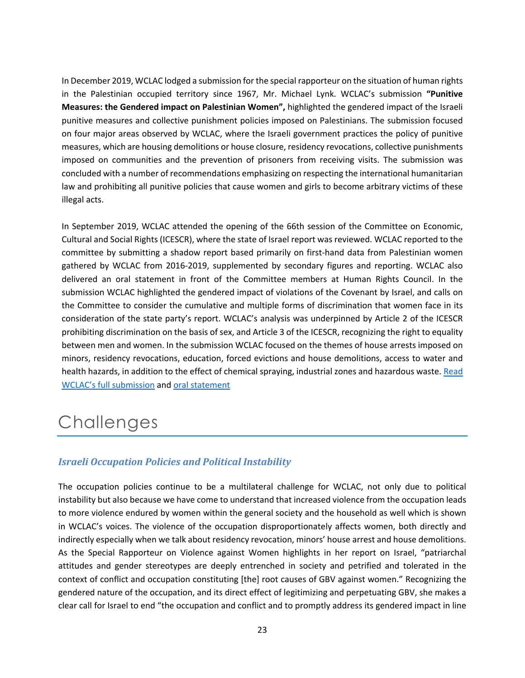In December 2019, WCLAC lodged a submission for the special rapporteur on the situation of human rights in the Palestinian occupied territory since 1967, Mr. Michael Lynk. WCLAC's submission **"Punitive Measures: the Gendered impact on Palestinian Women",** highlighted the gendered impact of the Israeli punitive measures and collective punishment policies imposed on Palestinians. The submission focused on four major areas observed by WCLAC, where the Israeli government practices the policy of punitive measures, which are housing demolitions or house closure, residency revocations, collective punishments imposed on communities and the prevention of prisoners from receiving visits. The submission was concluded with a number of recommendations emphasizing on respecting the international humanitarian law and prohibiting all punitive policies that cause women and girls to become arbitrary victims of these illegal acts.

In September 2019, WCLAC attended the opening of the 66th session of the Committee on Economic, Cultural and Social Rights (ICESCR), where the state of Israel report was reviewed. WCLAC reported to the committee by submitting a shadow report based primarily on first-hand data from Palestinian women gathered by WCLAC from 2016-2019, supplemented by secondary figures and reporting. WCLAC also delivered an oral statement in front of the Committee members at Human Rights Council. In the submission WCLAC highlighted the gendered impact of violations of the Covenant by Israel, and calls on the Committee to consider the cumulative and multiple forms of discrimination that women face in its consideration of the state party's report. WCLAC's analysis was underpinned by Article 2 of the ICESCR prohibiting discrimination on the basis of sex, and Article 3 of the ICESCR, recognizing the right to equality between men and women. In the submission WCLAC focused on the themes of house arrests imposed on minors, residency revocations, education, forced evictions and house demolitions, access to water and health hazards, in addition to the effect of chemical spraying, industrial zones and hazardous waste. Read [WCLAC's full submission](http://www.wclac.org/Library/176/WCLACs_Shadow_Report_for_the_Committee_on_Economic_Social_and_Cultural_Rights_66th_Session_Israel_Review) and [oral statement](http://www.wclac.org/Publication/135/WCLACs_Oral_Statement_to_the_Committee_on_Economic_Cultural_and_Social_Rights_66th_Session_Israel_review)

# <span id="page-22-0"></span>**Challenges**

### *Israeli Occupation Policies and Political Instability*

The occupation policies continue to be a multilateral challenge for WCLAC, not only due to political instability but also because we have come to understand that increased violence from the occupation leads to more violence endured by women within the general society and the household as well which is shown in WCLAC's voices. The violence of the occupation disproportionately affects women, both directly and indirectly especially when we talk about residency revocation, minors' house arrest and house demolitions. As the Special Rapporteur on Violence against Women highlights in her report on Israel, "patriarchal attitudes and gender stereotypes are deeply entrenched in society and petrified and tolerated in the context of conflict and occupation constituting [the] root causes of GBV against women." Recognizing the gendered nature of the occupation, and its direct effect of legitimizing and perpetuating GBV, she makes a clear call for Israel to end "the occupation and conflict and to promptly address its gendered impact in line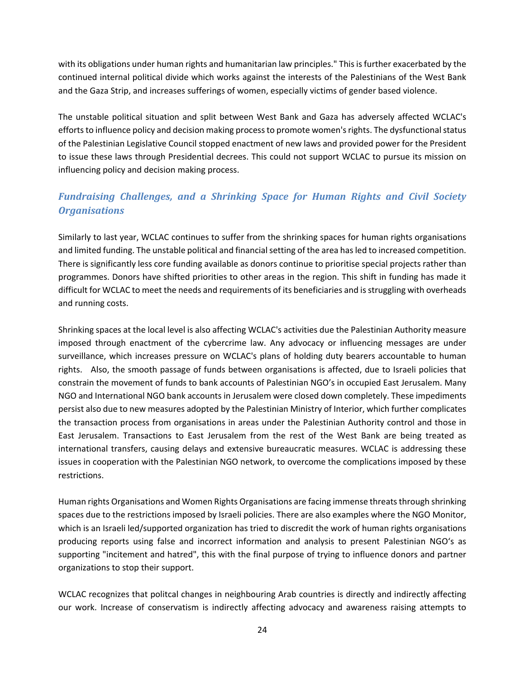with its obligations under human rights and humanitarian law principles." This is further exacerbated by the continued internal political divide which works against the interests of the Palestinians of the West Bank and the Gaza Strip, and increases sufferings of women, especially victims of gender based violence.

The unstable political situation and split between West Bank and Gaza has adversely affected WCLAC's efforts to influence policy and decision making process to promote women's rights. The dysfunctional status of the Palestinian Legislative Council stopped enactment of new laws and provided power for the President to issue these laws through Presidential decrees. This could not support WCLAC to pursue its mission on influencing policy and decision making process.

### *Fundraising Challenges, and a Shrinking Space for Human Rights and Civil Society Organisations*

Similarly to last year, WCLAC continues to suffer from the shrinking spaces for human rights organisations and limited funding. The unstable political and financial setting of the area has led to increased competition. There is significantly less core funding available as donors continue to prioritise special projects rather than programmes. Donors have shifted priorities to other areas in the region. This shift in funding has made it difficult for WCLAC to meet the needs and requirements of its beneficiaries and is struggling with overheads and running costs.

Shrinking spaces at the local level is also affecting WCLAC's activities due the Palestinian Authority measure imposed through enactment of the cybercrime law. Any advocacy or influencing messages are under surveillance, which increases pressure on WCLAC's plans of holding duty bearers accountable to human rights. Also, the smooth passage of funds between organisations is affected, due to Israeli policies that constrain the movement of funds to bank accounts of Palestinian NGO's in occupied East Jerusalem. Many NGO and International NGO bank accounts in Jerusalem were closed down completely. These impediments persist also due to new measures adopted by the Palestinian Ministry of Interior, which further complicates the transaction process from organisations in areas under the Palestinian Authority control and those in East Jerusalem. Transactions to East Jerusalem from the rest of the West Bank are being treated as international transfers, causing delays and extensive bureaucratic measures. WCLAC is addressing these issues in cooperation with the Palestinian NGO network, to overcome the complications imposed by these restrictions.

Human rights Organisations and Women Rights Organisations are facing immense threats through shrinking spaces due to the restrictions imposed by Israeli policies. There are also examples where the NGO Monitor, which is an Israeli led/supported organization has tried to discredit the work of human rights organisations producing reports using false and incorrect information and analysis to present Palestinian NGO's as supporting "incitement and hatred", this with the final purpose of trying to influence donors and partner organizations to stop their support.

WCLAC recognizes that politcal changes in neighbouring Arab countries is directly and indirectly affecting our work. Increase of conservatism is indirectly affecting advocacy and awareness raising attempts to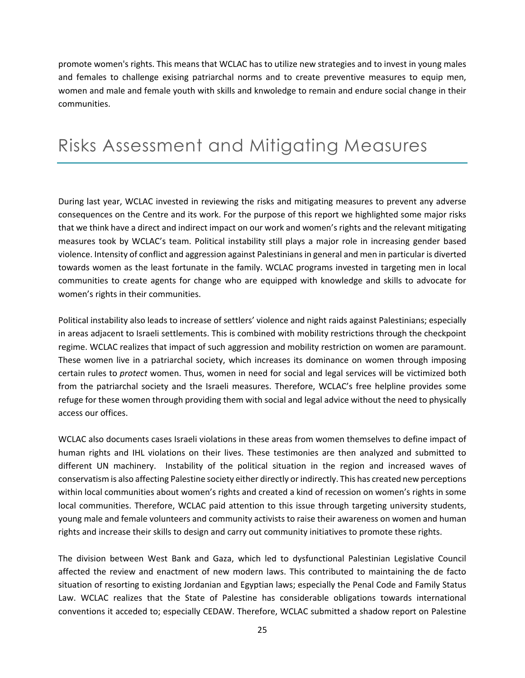promote women's rights. This means that WCLAC has to utilize new strategies and to invest in young males and females to challenge exising patriarchal norms and to create preventive measures to equip men, women and male and female youth with skills and knwoledge to remain and endure social change in their communities.

## <span id="page-24-0"></span>Risks Assessment and Mitigating Measures

During last year, WCLAC invested in reviewing the risks and mitigating measures to prevent any adverse consequences on the Centre and its work. For the purpose of this report we highlighted some major risks that we think have a direct and indirect impact on our work and women's rights and the relevant mitigating measures took by WCLAC's team. Political instability still plays a major role in increasing gender based violence. Intensity of conflict and aggression against Palestinians in general and men in particular is diverted towards women as the least fortunate in the family. WCLAC programs invested in targeting men in local communities to create agents for change who are equipped with knowledge and skills to advocate for women's rights in their communities.

Political instability also leads to increase of settlers' violence and night raids against Palestinians; especially in areas adjacent to Israeli settlements. This is combined with mobility restrictions through the checkpoint regime. WCLAC realizes that impact of such aggression and mobility restriction on women are paramount. These women live in a patriarchal society, which increases its dominance on women through imposing certain rules to *protect* women. Thus, women in need for social and legal services will be victimized both from the patriarchal society and the Israeli measures. Therefore, WCLAC's free helpline provides some refuge for these women through providing them with social and legal advice without the need to physically access our offices.

WCLAC also documents cases Israeli violations in these areas from women themselves to define impact of human rights and IHL violations on their lives. These testimonies are then analyzed and submitted to different UN machinery. Instability of the political situation in the region and increased waves of conservatism is also affecting Palestine society either directly or indirectly. This has created new perceptions within local communities about women's rights and created a kind of recession on women's rights in some local communities. Therefore, WCLAC paid attention to this issue through targeting university students, young male and female volunteers and community activists to raise their awareness on women and human rights and increase their skills to design and carry out community initiatives to promote these rights.

The division between West Bank and Gaza, which led to dysfunctional Palestinian Legislative Council affected the review and enactment of new modern laws. This contributed to maintaining the de facto situation of resorting to existing Jordanian and Egyptian laws; especially the Penal Code and Family Status Law. WCLAC realizes that the State of Palestine has considerable obligations towards international conventions it acceded to; especially CEDAW. Therefore, WCLAC submitted a shadow report on Palestine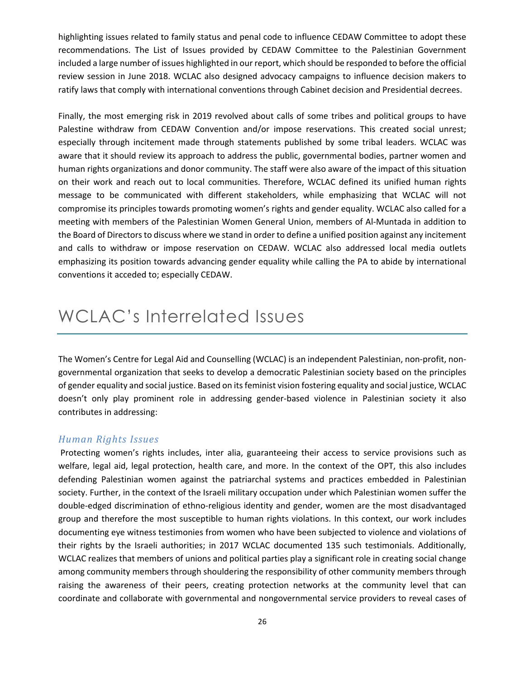highlighting issues related to family status and penal code to influence CEDAW Committee to adopt these recommendations. The List of Issues provided by CEDAW Committee to the Palestinian Government included a large number of issues highlighted in our report, which should be responded to before the official review session in June 2018. WCLAC also designed advocacy campaigns to influence decision makers to ratify laws that comply with international conventions through Cabinet decision and Presidential decrees.

Finally, the most emerging risk in 2019 revolved about calls of some tribes and political groups to have Palestine withdraw from CEDAW Convention and/or impose reservations. This created social unrest; especially through incitement made through statements published by some tribal leaders. WCLAC was aware that it should review its approach to address the public, governmental bodies, partner women and human rights organizations and donor community. The staff were also aware of the impact of this situation on their work and reach out to local communities. Therefore, WCLAC defined its unified human rights message to be communicated with different stakeholders, while emphasizing that WCLAC will not compromise its principles towards promoting women's rights and gender equality. WCLAC also called for a meeting with members of the Palestinian Women General Union, members of Al-Muntada in addition to the Board of Directors to discuss where we stand in order to define a unified position against any incitement and calls to withdraw or impose reservation on CEDAW. WCLAC also addressed local media outlets emphasizing its position towards advancing gender equality while calling the PA to abide by international conventions it acceded to; especially CEDAW.

## <span id="page-25-0"></span>WCLAC's Interrelated Issues

The Women's Centre for Legal Aid and Counselling (WCLAC) is an independent Palestinian, non-profit, nongovernmental organization that seeks to develop a democratic Palestinian society based on the principles of gender equality and social justice. Based on its feminist vision fostering equality and social justice, WCLAC doesn't only play prominent role in addressing gender-based violence in Palestinian society it also contributes in addressing:

#### *Human Rights Issues*

 Protecting women's rights includes, inter alia, guaranteeing their access to service provisions such as welfare, legal aid, legal protection, health care, and more. In the context of the OPT, this also includes defending Palestinian women against the patriarchal systems and practices embedded in Palestinian society. Further, in the context of the Israeli military occupation under which Palestinian women suffer the double-edged discrimination of ethno-religious identity and gender, women are the most disadvantaged group and therefore the most susceptible to human rights violations. In this context, our work includes documenting eye witness testimonies from women who have been subjected to violence and violations of their rights by the Israeli authorities; in 2017 WCLAC documented 135 such testimonials. Additionally, WCLAC realizes that members of unions and political parties play a significant role in creating social change among community members through shouldering the responsibility of other community members through raising the awareness of their peers, creating protection networks at the community level that can coordinate and collaborate with governmental and nongovernmental service providers to reveal cases of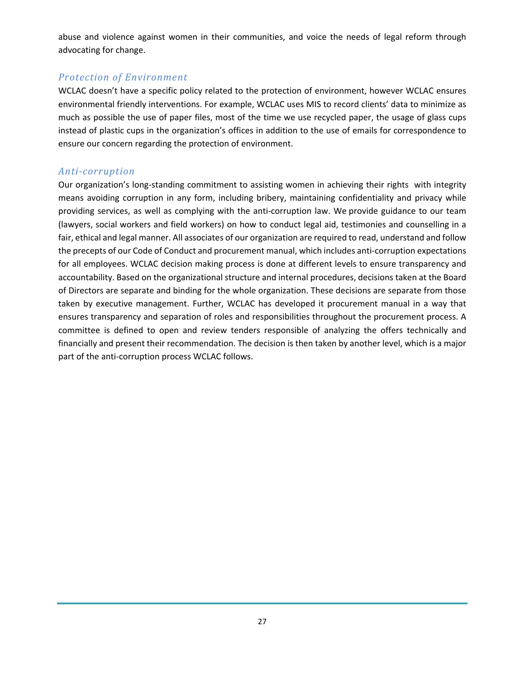abuse and violence against women in their communities, and voice the needs of legal reform through advocating for change.

### *Protection of Environment*

WCLAC doesn't have a specific policy related to the protection of environment, however WCLAC ensures environmental friendly interventions. For example, WCLAC uses MIS to record clients' data to minimize as much as possible the use of paper files, most of the time we use recycled paper, the usage of glass cups instead of plastic cups in the organization's offices in addition to the use of emails for correspondence to ensure our concern regarding the protection of environment.

#### *Anti-corruption*

Our organization's long-standing commitment to assisting women in achieving their rights with integrity means avoiding corruption in any form, including bribery, maintaining confidentiality and privacy while providing services, as well as complying with the anti-corruption law. We provide guidance to our team (lawyers, social workers and field workers) on how to conduct legal aid, testimonies and counselling in a fair, ethical and legal manner. All associates of our organization are required to read, understand and follow the precepts of our Code of Conduct and procurement manual, which includes anti-corruption expectations for all employees. WCLAC decision making process is done at different levels to ensure transparency and accountability. Based on the organizational structure and internal procedures, decisions taken at the Board of Directors are separate and binding for the whole organization. These decisions are separate from those taken by executive management. Further, WCLAC has developed it procurement manual in a way that ensures transparency and separation of roles and responsibilities throughout the procurement process. A committee is defined to open and review tenders responsible of analyzing the offers technically and financially and present their recommendation. The decision is then taken by another level, which is a major part of the anti-corruption process WCLAC follows.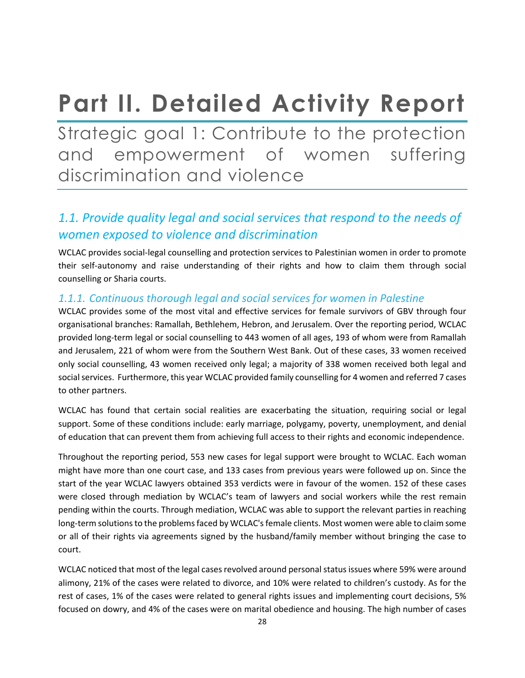# <span id="page-27-0"></span>**Part II. Detailed Activity Report**

<span id="page-27-1"></span>Strategic goal 1: Contribute to the protection and empowerment of women suffering discrimination and violence

### *1.1. Provide quality legal and social services that respond to the needs of women exposed to violence and discrimination*

WCLAC provides social-legal counselling and protection services to Palestinian women in order to promote their self-autonomy and raise understanding of their rights and how to claim them through social counselling or Sharia courts.

### *1.1.1. Continuous thorough legal and social services for women in Palestine*

WCLAC provides some of the most vital and effective services for female survivors of GBV through four organisational branches: Ramallah, Bethlehem, Hebron, and Jerusalem. Over the reporting period, WCLAC provided long-term legal or social counselling to 443 women of all ages, 193 of whom were from Ramallah and Jerusalem, 221 of whom were from the Southern West Bank. Out of these cases, 33 women received only social counselling, 43 women received only legal; a majority of 338 women received both legal and social services. Furthermore, this year WCLAC provided family counselling for 4 women and referred 7 cases to other partners.

WCLAC has found that certain social realities are exacerbating the situation, requiring social or legal support. Some of these conditions include: early marriage, polygamy, poverty, unemployment, and denial of education that can prevent them from achieving full access to their rights and economic independence.

Throughout the reporting period, 553 new cases for legal support were brought to WCLAC. Each woman might have more than one court case, and 133 cases from previous years were followed up on. Since the start of the year WCLAC lawyers obtained 353 verdicts were in favour of the women. 152 of these cases were closed through mediation by WCLAC's team of lawyers and social workers while the rest remain pending within the courts. Through mediation, WCLAC was able to support the relevant parties in reaching long-term solutions to the problems faced by WCLAC's female clients. Most women were able to claim some or all of their rights via agreements signed by the husband/family member without bringing the case to court.

WCLAC noticed that most of the legal cases revolved around personal status issues where 59% were around alimony, 21% of the cases were related to divorce, and 10% were related to children's custody. As for the rest of cases, 1% of the cases were related to general rights issues and implementing court decisions, 5% focused on dowry, and 4% of the cases were on marital obedience and housing. The high number of cases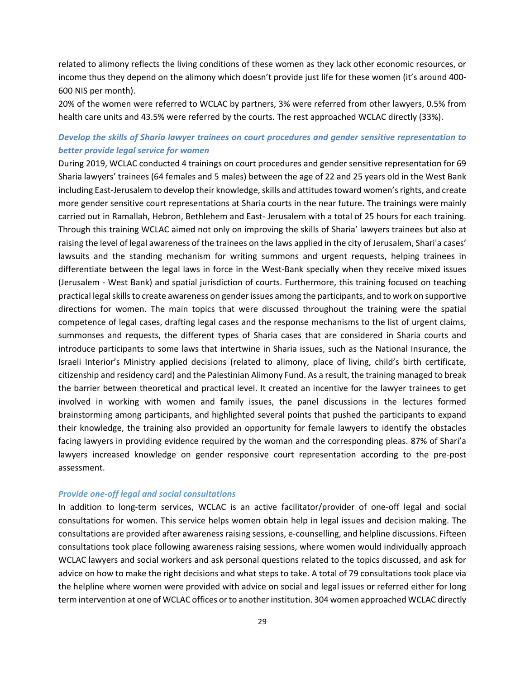related to alimony reflects the living conditions of these women as they lack other economic resources, or income thus they depend on the alimony which doesn't provide just life for these women (it's around 400- 600 NIS per month).

20% of the women were referred to WCLAC by partners, 3% were referred from other lawyers, 0.5% from health care units and 43.5% were referred by the courts. The rest approached WCLAC directly (33%).

#### *Develop the skills of Sharia lawyer trainees on court procedures and gender sensitive representation to better provide legal service for women*

During 2019, WCLAC conducted 4 trainings on court procedures and gender sensitive representation for 69 Sharia lawyers' trainees (64 females and 5 males) between the age of 22 and 25 years old in the West Bank including East-Jerusalem to develop their knowledge, skills and attitudes toward women's rights, and create more gender sensitive court representations at Sharia courts in the near future. The trainings were mainly carried out in Ramallah, Hebron, Bethlehem and East- Jerusalem with a total of 25 hours for each training. Through this training WCLAC aimed not only on improving the skills of Sharia' lawyers trainees but also at raising the level of legal awareness of the trainees on the laws applied in the city of Jerusalem, Shari'a cases' lawsuits and the standing mechanism for writing summons and urgent requests, helping trainees in differentiate between the legal laws in force in the West-Bank specially when they receive mixed issues (Jerusalem - West Bank) and spatial jurisdiction of courts. Furthermore, this training focused on teaching practical legal skills to create awareness on gender issues among the participants, and to work on supportive directions for women. The main topics that were discussed throughout the training were the spatial competence of legal cases, drafting legal cases and the response mechanisms to the list of urgent claims, summonses and requests, the different types of Sharia cases that are considered in Sharia courts and introduce participants to some laws that intertwine in Sharia issues, such as the National Insurance, the Israeli Interior's Ministry applied decisions (related to alimony, place of living, child's birth certificate, citizenship and residency card) and the Palestinian Alimony Fund. As a result, the training managed to break the barrier between theoretical and practical level. It created an incentive for the lawyer trainees to get involved in working with women and family issues, the panel discussions in the lectures formed brainstorming among participants, and highlighted several points that pushed the participants to expand their knowledge, the training also provided an opportunity for female lawyers to identify the obstacles facing lawyers in providing evidence required by the woman and the corresponding pleas. 87% of Shari'a lawyers increased knowledge on gender responsive court representation according to the pre-post assessment.

#### *Provide one-off legal and social consultations*

In addition to long-term services, WCLAC is an active facilitator/provider of one-off legal and social consultations for women. This service helps women obtain help in legal issues and decision making. The consultations are provided after awareness raising sessions, e-counselling, and helpline discussions. Fifteen consultations took place following awareness raising sessions, where women would individually approach WCLAC lawyers and social workers and ask personal questions related to the topics discussed, and ask for advice on how to make the right decisions and what steps to take. A total of 79 consultations took place via the helpline where women were provided with advice on social and legal issues or referred either for long term intervention at one of WCLAC offices or to another institution. 304 women approached WCLAC directly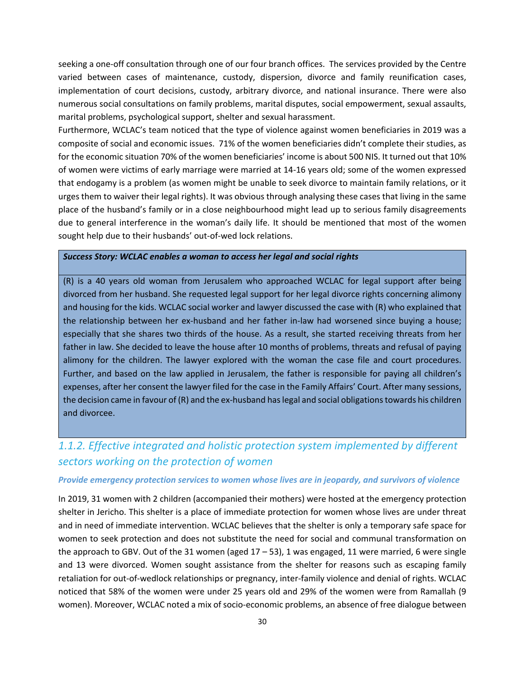seeking a one-off consultation through one of our four branch offices. The services provided by the Centre varied between cases of maintenance, custody, dispersion, divorce and family reunification cases, implementation of court decisions, custody, arbitrary divorce, and national insurance. There were also numerous social consultations on family problems, marital disputes, social empowerment, sexual assaults, marital problems, psychological support, shelter and sexual harassment.

Furthermore, WCLAC's team noticed that the type of violence against women beneficiaries in 2019 was a composite of social and economic issues. 71% of the women beneficiaries didn't complete their studies, as for the economic situation 70% of the women beneficiaries' income is about 500 NIS. It turned out that 10% of women were victims of early marriage were married at 14-16 years old; some of the women expressed that endogamy is a problem (as women might be unable to seek divorce to maintain family relations, or it urges them to waiver their legal rights). It was obvious through analysing these cases that living in the same place of the husband's family or in a close neighbourhood might lead up to serious family disagreements due to general interference in the woman's daily life. It should be mentioned that most of the women sought help due to their husbands' out-of-wed lock relations.

#### *Success Story: WCLAC enables a woman to access her legal and social rights*

(R) is a 40 years old woman from Jerusalem who approached WCLAC for legal support after being divorced from her husband. She requested legal support for her legal divorce rights concerning alimony and housing for the kids. WCLAC social worker and lawyer discussed the case with (R) who explained that the relationship between her ex-husband and her father in-law had worsened since buying a house; especially that she shares two thirds of the house. As a result, she started receiving threats from her father in law. She decided to leave the house after 10 months of problems, threats and refusal of paying alimony for the children. The lawyer explored with the woman the case file and court procedures. Further, and based on the law applied in Jerusalem, the father is responsible for paying all children's expenses, after her consent the lawyer filed for the case in the Family Affairs' Court. After many sessions, the decision came in favour of (R) and the ex-husband has legal and social obligations towards his children and divorcee.

### *1.1.2. Effective integrated and holistic protection system implemented by different sectors working on the protection of women*

#### *Provide emergency protection services to women whose lives are in jeopardy, and survivors of violence*

In 2019, 31 women with 2 children (accompanied their mothers) were hosted at the emergency protection shelter in Jericho. This shelter is a place of immediate protection for women whose lives are under threat and in need of immediate intervention. WCLAC believes that the shelter is only a temporary safe space for women to seek protection and does not substitute the need for social and communal transformation on the approach to GBV. Out of the 31 women (aged  $17 - 53$ ), 1 was engaged, 11 were married, 6 were single and 13 were divorced. Women sought assistance from the shelter for reasons such as escaping family retaliation for out-of-wedlock relationships or pregnancy, inter-family violence and denial of rights. WCLAC noticed that 58% of the women were under 25 years old and 29% of the women were from Ramallah (9 women). Moreover, WCLAC noted a mix of socio-economic problems, an absence of free dialogue between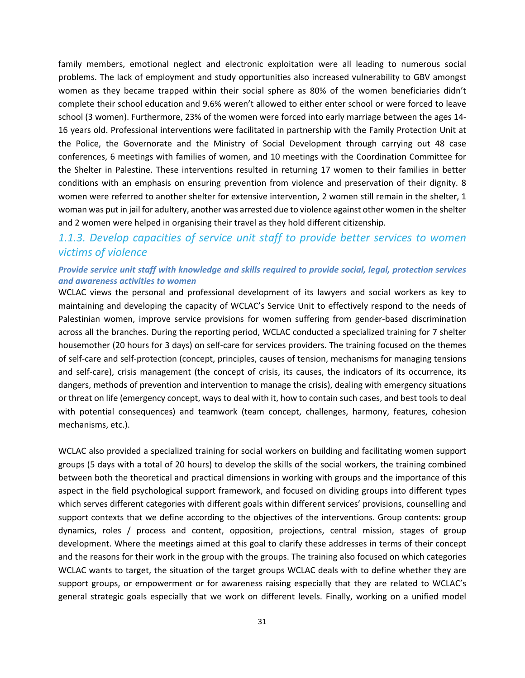family members, emotional neglect and electronic exploitation were all leading to numerous social problems. The lack of employment and study opportunities also increased vulnerability to GBV amongst women as they became trapped within their social sphere as 80% of the women beneficiaries didn't complete their school education and 9.6% weren't allowed to either enter school or were forced to leave school (3 women). Furthermore, 23% of the women were forced into early marriage between the ages 14- 16 years old. Professional interventions were facilitated in partnership with the Family Protection Unit at the Police, the Governorate and the Ministry of Social Development through carrying out 48 case conferences, 6 meetings with families of women, and 10 meetings with the Coordination Committee for the Shelter in Palestine. These interventions resulted in returning 17 women to their families in better conditions with an emphasis on ensuring prevention from violence and preservation of their dignity. 8 women were referred to another shelter for extensive intervention, 2 women still remain in the shelter, 1 woman was put in jail for adultery, another was arrested due to violence against other women in the shelter and 2 women were helped in organising their travel as they hold different citizenship.

### *1.1.3. Develop capacities of service unit staff to provide better services to women victims of violence*

#### *Provide service unit staff with knowledge and skills required to provide social, legal, protection services and awareness activities to women*

WCLAC views the personal and professional development of its lawyers and social workers as key to maintaining and developing the capacity of WCLAC's Service Unit to effectively respond to the needs of Palestinian women, improve service provisions for women suffering from gender-based discrimination across all the branches. During the reporting period, WCLAC conducted a specialized training for 7 shelter housemother (20 hours for 3 days) on self-care for services providers. The training focused on the themes of self-care and self-protection (concept, principles, causes of tension, mechanisms for managing tensions and self-care), crisis management (the concept of crisis, its causes, the indicators of its occurrence, its dangers, methods of prevention and intervention to manage the crisis), dealing with emergency situations or threat on life (emergency concept, ways to deal with it, how to contain such cases, and best tools to deal with potential consequences) and teamwork (team concept, challenges, harmony, features, cohesion mechanisms, etc.).

WCLAC also provided a specialized training for social workers on building and facilitating women support groups (5 days with a total of 20 hours) to develop the skills of the social workers, the training combined between both the theoretical and practical dimensions in working with groups and the importance of this aspect in the field psychological support framework, and focused on dividing groups into different types which serves different categories with different goals within different services' provisions, counselling and support contexts that we define according to the objectives of the interventions. Group contents: group dynamics, roles / process and content, opposition, projections, central mission, stages of group development. Where the meetings aimed at this goal to clarify these addresses in terms of their concept and the reasons for their work in the group with the groups. The training also focused on which categories WCLAC wants to target, the situation of the target groups WCLAC deals with to define whether they are support groups, or empowerment or for awareness raising especially that they are related to WCLAC's general strategic goals especially that we work on different levels. Finally, working on a unified model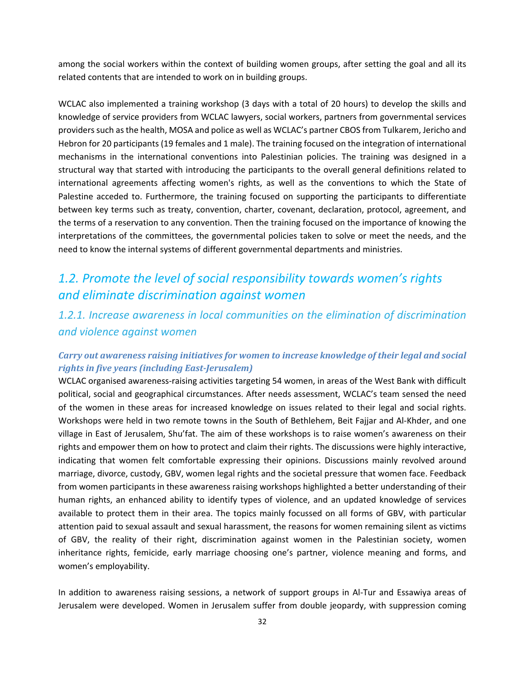among the social workers within the context of building women groups, after setting the goal and all its related contents that are intended to work on in building groups.

WCLAC also implemented a training workshop (3 days with a total of 20 hours) to develop the skills and knowledge of service providers from WCLAC lawyers, social workers, partners from governmental services providers such as the health, MOSA and police as well as WCLAC's partner CBOS from Tulkarem, Jericho and Hebron for 20 participants (19 females and 1 male). The training focused on the integration of international mechanisms in the international conventions into Palestinian policies. The training was designed in a structural way that started with introducing the participants to the overall general definitions related to international agreements affecting women's rights, as well as the conventions to which the State of Palestine acceded to. Furthermore, the training focused on supporting the participants to differentiate between key terms such as treaty, convention, charter, covenant, declaration, protocol, agreement, and the terms of a reservation to any convention. Then the training focused on the importance of knowing the interpretations of the committees, the governmental policies taken to solve or meet the needs, and the need to know the internal systems of different governmental departments and ministries.

### *1.2. Promote the level of social responsibility towards women's rights and eliminate discrimination against women*

*1.2.1. Increase awareness in local communities on the elimination of discrimination and violence against women*

#### *Carry out awareness raising initiatives for women to increase knowledge of their legal and social rights in five years (including East-Jerusalem)*

WCLAC organised awareness-raising activities targeting 54 women, in areas of the West Bank with difficult political, social and geographical circumstances. After needs assessment, WCLAC's team sensed the need of the women in these areas for increased knowledge on issues related to their legal and social rights. Workshops were held in two remote towns in the South of Bethlehem, Beit Fajjar and Al-Khder, and one village in East of Jerusalem, Shu'fat. The aim of these workshops is to raise women's awareness on their rights and empower them on how to protect and claim their rights. The discussions were highly interactive, indicating that women felt comfortable expressing their opinions. Discussions mainly revolved around marriage, divorce, custody, GBV, women legal rights and the societal pressure that women face. Feedback from women participants in these awareness raising workshops highlighted a better understanding of their human rights, an enhanced ability to identify types of violence, and an updated knowledge of services available to protect them in their area. The topics mainly focussed on all forms of GBV, with particular attention paid to sexual assault and sexual harassment, the reasons for women remaining silent as victims of GBV, the reality of their right, discrimination against women in the Palestinian society, women inheritance rights, femicide, early marriage choosing one's partner, violence meaning and forms, and women's employability.

In addition to awareness raising sessions, a network of support groups in Al-Tur and Essawiya areas of Jerusalem were developed. Women in Jerusalem suffer from double jeopardy, with suppression coming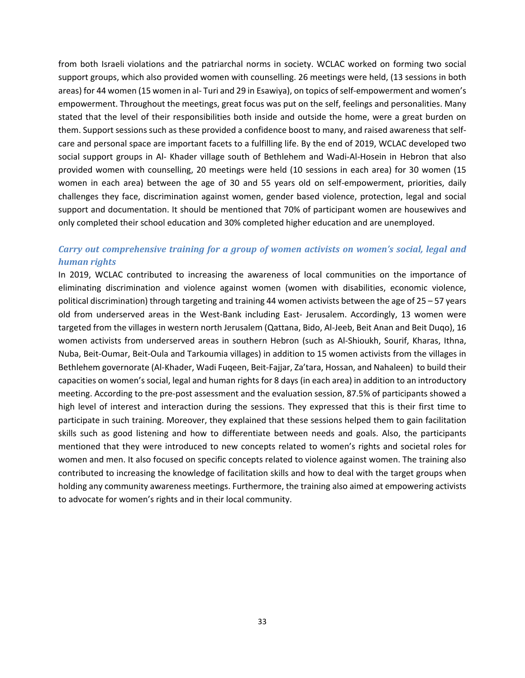from both Israeli violations and the patriarchal norms in society. WCLAC worked on forming two social support groups, which also provided women with counselling. 26 meetings were held, (13 sessions in both areas) for 44 women (15 women in al- Turi and 29 in Esawiya), on topics of self-empowerment and women's empowerment. Throughout the meetings, great focus was put on the self, feelings and personalities. Many stated that the level of their responsibilities both inside and outside the home, were a great burden on them. Support sessions such as these provided a confidence boost to many, and raised awareness that selfcare and personal space are important facets to a fulfilling life. By the end of 2019, WCLAC developed two social support groups in Al- Khader village south of Bethlehem and Wadi-Al-Hosein in Hebron that also provided women with counselling, 20 meetings were held (10 sessions in each area) for 30 women (15 women in each area) between the age of 30 and 55 years old on self-empowerment, priorities, daily challenges they face, discrimination against women, gender based violence, protection, legal and social support and documentation. It should be mentioned that 70% of participant women are housewives and only completed their school education and 30% completed higher education and are unemployed.

#### *Carry out comprehensive training for a group of women activists on women's social, legal and human rights*

In 2019, WCLAC contributed to increasing the awareness of local communities on the importance of eliminating discrimination and violence against women (women with disabilities, economic violence, political discrimination) through targeting and training 44 women activists between the age of 25 – 57 years old from underserved areas in the West-Bank including East- Jerusalem. Accordingly, 13 women were targeted from the villages in western north Jerusalem (Qattana, Bido, Al-Jeeb, Beit Anan and Beit Duqo), 16 women activists from underserved areas in southern Hebron (such as Al-Shioukh, Sourif, Kharas, Ithna, Nuba, Beit-Oumar, Beit-Oula and Tarkoumia villages) in addition to 15 women activists from the villages in Bethlehem governorate (Al-Khader, Wadi Fuqeen, Beit-Fajjar, Za'tara, Hossan, and Nahaleen) to build their capacities on women's social, legal and human rights for 8 days (in each area) in addition to an introductory meeting. According to the pre-post assessment and the evaluation session, 87.5% of participants showed a high level of interest and interaction during the sessions. They expressed that this is their first time to participate in such training. Moreover, they explained that these sessions helped them to gain facilitation skills such as good listening and how to differentiate between needs and goals. Also, the participants mentioned that they were introduced to new concepts related to women's rights and societal roles for women and men. It also focused on specific concepts related to violence against women. The training also contributed to increasing the knowledge of facilitation skills and how to deal with the target groups when holding any community awareness meetings. Furthermore, the training also aimed at empowering activists to advocate for women's rights and in their local community.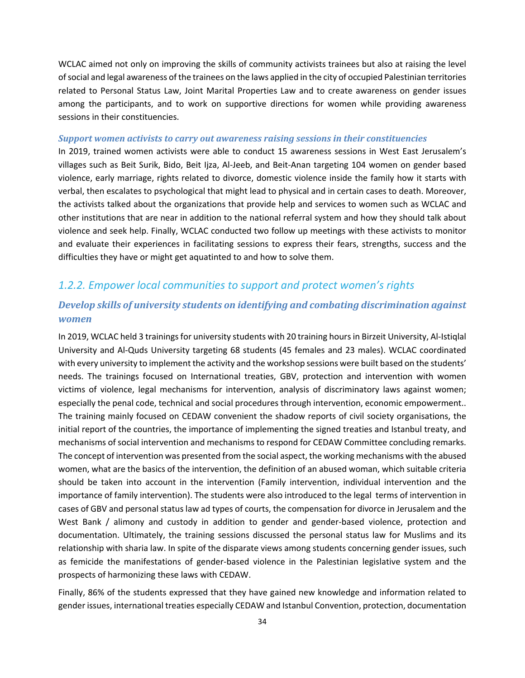WCLAC aimed not only on improving the skills of community activists trainees but also at raising the level of social and legal awareness of the trainees on the laws applied in the city of occupied Palestinian territories related to Personal Status Law, Joint Marital Properties Law and to create awareness on gender issues among the participants, and to work on supportive directions for women while providing awareness sessions in their constituencies.

#### *Support women activists to carry out awareness raising sessions in their constituencies*

In 2019, trained women activists were able to conduct 15 awareness sessions in West East Jerusalem's villages such as Beit Surik, Bido, Beit Ijza, Al-Jeeb, and Beit-Anan targeting 104 women on gender based violence, early marriage, rights related to divorce, domestic violence inside the family how it starts with verbal, then escalates to psychological that might lead to physical and in certain cases to death. Moreover, the activists talked about the organizations that provide help and services to women such as WCLAC and other institutions that are near in addition to the national referral system and how they should talk about violence and seek help. Finally, WCLAC conducted two follow up meetings with these activists to monitor and evaluate their experiences in facilitating sessions to express their fears, strengths, success and the difficulties they have or might get aquatinted to and how to solve them.

#### *1.2.2. Empower local communities to support and protect women's rights*

#### *Develop skills of university students on identifying and combating discrimination against women*

In 2019, WCLAC held 3 trainings for university students with 20 training hours in Birzeit University, Al-Istiqlal University and Al-Quds University targeting 68 students (45 females and 23 males). WCLAC coordinated with every university to implement the activity and the workshop sessions were built based on the students' needs. The trainings focused on International treaties, GBV, protection and intervention with women victims of violence, legal mechanisms for intervention, analysis of discriminatory laws against women; especially the penal code, technical and social procedures through intervention, economic empowerment.. The training mainly focused on CEDAW convenient the shadow reports of civil society organisations, the initial report of the countries, the importance of implementing the signed treaties and Istanbul treaty, and mechanisms of social intervention and mechanisms to respond for CEDAW Committee concluding remarks. The concept of intervention was presented from the social aspect, the working mechanisms with the abused women, what are the basics of the intervention, the definition of an abused woman, which suitable criteria should be taken into account in the intervention (Family intervention, individual intervention and the importance of family intervention). The students were also introduced to the legal terms of intervention in cases of GBV and personal status law ad types of courts, the compensation for divorce in Jerusalem and the West Bank / alimony and custody in addition to gender and gender-based violence, protection and documentation. Ultimately, the training sessions discussed the personal status law for Muslims and its relationship with sharia law. In spite of the disparate views among students concerning gender issues, such as femicide the manifestations of gender-based violence in the Palestinian legislative system and the prospects of harmonizing these laws with CEDAW.

Finally, 86% of the students expressed that they have gained new knowledge and information related to gender issues, international treaties especially CEDAW and Istanbul Convention, protection, documentation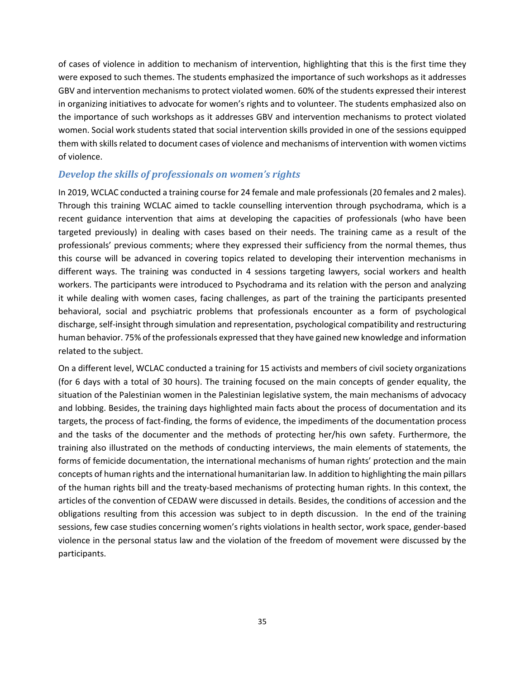of cases of violence in addition to mechanism of intervention, highlighting that this is the first time they were exposed to such themes. The students emphasized the importance of such workshops as it addresses GBV and intervention mechanisms to protect violated women. 60% of the students expressed their interest in organizing initiatives to advocate for women's rights and to volunteer. The students emphasized also on the importance of such workshops as it addresses GBV and intervention mechanisms to protect violated women. Social work students stated that social intervention skills provided in one of the sessions equipped them with skills related to document cases of violence and mechanisms of intervention with women victims of violence.

#### *Develop the skills of professionals on women's rights*

In 2019, WCLAC conducted a training course for 24 female and male professionals (20 females and 2 males). Through this training WCLAC aimed to tackle counselling intervention through psychodrama, which is a recent guidance intervention that aims at developing the capacities of professionals (who have been targeted previously) in dealing with cases based on their needs. The training came as a result of the professionals' previous comments; where they expressed their sufficiency from the normal themes, thus this course will be advanced in covering topics related to developing their intervention mechanisms in different ways. The training was conducted in 4 sessions targeting lawyers, social workers and health workers. The participants were introduced to Psychodrama and its relation with the person and analyzing it while dealing with women cases, facing challenges, as part of the training the participants presented behavioral, social and psychiatric problems that professionals encounter as a form of psychological discharge, self-insight through simulation and representation, psychological compatibility and restructuring human behavior. 75% of the professionals expressed that they have gained new knowledge and information related to the subject.

On a different level, WCLAC conducted a training for 15 activists and members of civil society organizations (for 6 days with a total of 30 hours). The training focused on the main concepts of gender equality, the situation of the Palestinian women in the Palestinian legislative system, the main mechanisms of advocacy and lobbing. Besides, the training days highlighted main facts about the process of documentation and its targets, the process of fact-finding, the forms of evidence, the impediments of the documentation process and the tasks of the documenter and the methods of protecting her/his own safety. Furthermore, the training also illustrated on the methods of conducting interviews, the main elements of statements, the forms of femicide documentation, the international mechanisms of human rights' protection and the main concepts of human rights and the international humanitarian law. In addition to highlighting the main pillars of the human rights bill and the treaty-based mechanisms of protecting human rights. In this context, the articles of the convention of CEDAW were discussed in details. Besides, the conditions of accession and the obligations resulting from this accession was subject to in depth discussion. In the end of the training sessions, few case studies concerning women's rights violations in health sector, work space, gender-based violence in the personal status law and the violation of the freedom of movement were discussed by the participants.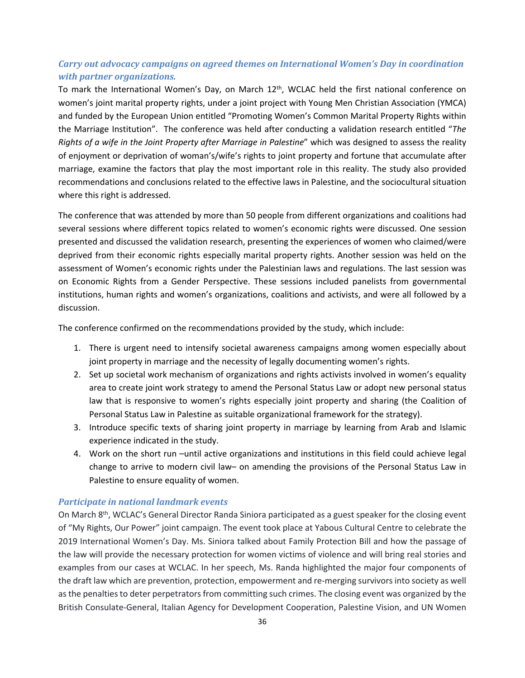#### *Carry out advocacy campaigns on agreed themes on International Women's Day in coordination with partner organizations.*

To mark the International Women's Day, on March 12th, WCLAC held the first national conference on women's joint marital property rights, under a joint project with Young Men Christian Association (YMCA) and funded by the European Union entitled "Promoting Women's Common Marital Property Rights within the Marriage Institution". The conference was held after conducting a validation research entitled "*The Rights of a wife in the Joint Property after Marriage in Palestine*" which was designed to assess the reality of enjoyment or deprivation of woman's/wife's rights to joint property and fortune that accumulate after marriage, examine the factors that play the most important role in this reality. The study also provided recommendations and conclusions related to the effective laws in Palestine, and the sociocultural situation where this right is addressed.

The conference that was attended by more than 50 people from different organizations and coalitions had several sessions where different topics related to women's economic rights were discussed. One session presented and discussed the validation research, presenting the experiences of women who claimed/were deprived from their economic rights especially marital property rights. Another session was held on the assessment of Women's economic rights under the Palestinian laws and regulations. The last session was on Economic Rights from a Gender Perspective. These sessions included panelists from governmental institutions, human rights and women's organizations, coalitions and activists, and were all followed by a discussion.

The conference confirmed on the recommendations provided by the study, which include:

- 1. There is urgent need to intensify societal awareness campaigns among women especially about joint property in marriage and the necessity of legally documenting women's rights.
- 2. Set up societal work mechanism of organizations and rights activists involved in women's equality area to create joint work strategy to amend the Personal Status Law or adopt new personal status law that is responsive to women's rights especially joint property and sharing (the Coalition of Personal Status Law in Palestine as suitable organizational framework for the strategy).
- 3. Introduce specific texts of sharing joint property in marriage by learning from Arab and Islamic experience indicated in the study.
- 4. Work on the short run –until active organizations and institutions in this field could achieve legal change to arrive to modern civil law– on amending the provisions of the Personal Status Law in Palestine to ensure equality of women.

#### *Participate in national landmark events*

On March 8<sup>th</sup>, WCLAC's General Director Randa Siniora participated as a guest speaker for the closing event of "My Rights, Our Power" joint campaign. The event took place at Yabous Cultural Centre to celebrate the 2019 International Women's Day. Ms. Siniora talked about Family Protection Bill and how the passage of the law will provide the necessary protection for women victims of violence and will bring real stories and examples from our cases at WCLAC. In her speech, Ms. Randa highlighted the major four components of the draft law which are prevention, protection, empowerment and re-merging survivors into society as well as the penalties to deter perpetrators from committing such crimes. The closing event was organized by the British Consulate-General, Italian Agency for Development Cooperation, Palestine Vision, and UN Women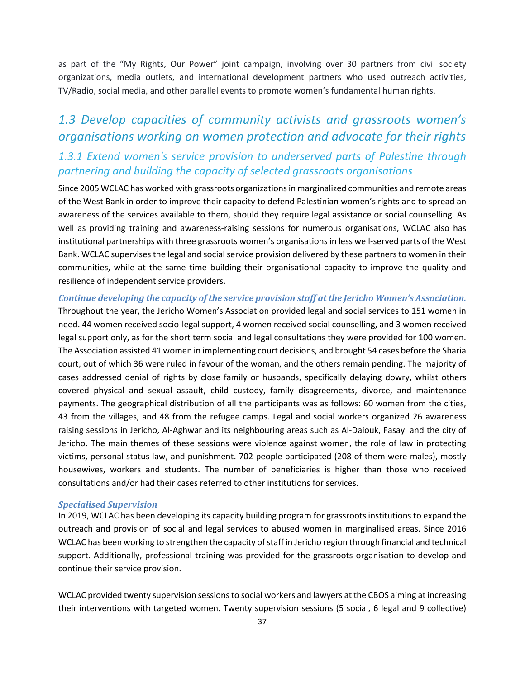as part of the "My Rights, Our Power" joint campaign, involving over 30 partners from civil society organizations, media outlets, and international development partners who used outreach activities, TV/Radio, social media, and other parallel events to promote women's fundamental human rights.

### *1.3 Develop capacities of community activists and grassroots women's organisations working on women protection and advocate for their rights*

### *1.3.1 Extend women's service provision to underserved parts of Palestine through partnering and building the capacity of selected grassroots organisations*

Since 2005 WCLAC has worked with grassroots organizations in marginalized communities and remote areas of the West Bank in order to improve their capacity to defend Palestinian women's rights and to spread an awareness of the services available to them, should they require legal assistance or social counselling. As well as providing training and awareness-raising sessions for numerous organisations, WCLAC also has institutional partnerships with three grassroots women's organisations in less well-served parts of the West Bank. WCLAC supervises the legal and social service provision delivered by these partners to women in their communities, while at the same time building their organisational capacity to improve the quality and resilience of independent service providers.

#### *Continue developing the capacity of the service provision staff at the Jericho Women's Association.*

Throughout the year, the Jericho Women's Association provided legal and social services to 151 women in need. 44 women received socio-legal support, 4 women received social counselling, and 3 women received legal support only, as for the short term social and legal consultations they were provided for 100 women. The Association assisted 41 women in implementing court decisions, and brought 54 cases before the Sharia court, out of which 36 were ruled in favour of the woman, and the others remain pending. The majority of cases addressed denial of rights by close family or husbands, specifically delaying dowry, whilst others covered physical and sexual assault, child custody, family disagreements, divorce, and maintenance payments. The geographical distribution of all the participants was as follows: 60 women from the cities, 43 from the villages, and 48 from the refugee camps. Legal and social workers organized 26 awareness raising sessions in Jericho, Al-Aghwar and its neighbouring areas such as Al-Daiouk, Fasayl and the city of Jericho. The main themes of these sessions were violence against women, the role of law in protecting victims, personal status law, and punishment. 702 people participated (208 of them were males), mostly housewives, workers and students. The number of beneficiaries is higher than those who received consultations and/or had their cases referred to other institutions for services.

#### *Specialised Supervision*

In 2019, WCLAC has been developing its capacity building program for grassroots institutions to expand the outreach and provision of social and legal services to abused women in marginalised areas. Since 2016 WCLAC has been working to strengthen the capacity of staff in Jericho region through financial and technical support. Additionally, professional training was provided for the grassroots organisation to develop and continue their service provision.

WCLAC provided twenty supervision sessions to social workers and lawyers at the CBOS aiming at increasing their interventions with targeted women. Twenty supervision sessions (5 social, 6 legal and 9 collective)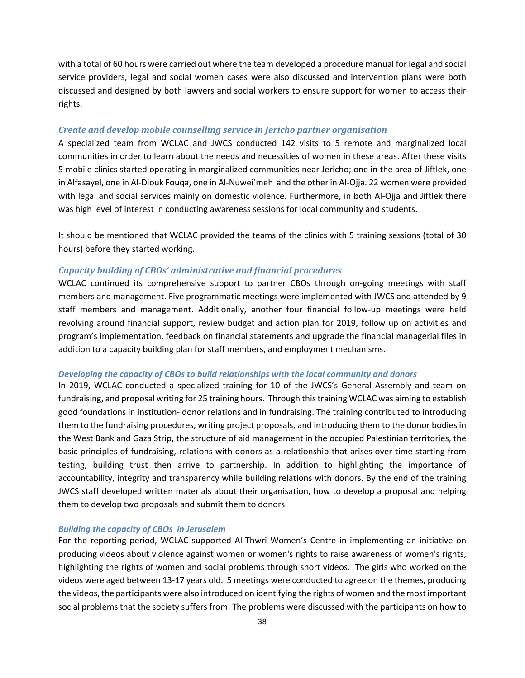with a total of 60 hours were carried out where the team developed a procedure manual for legal and social service providers, legal and social women cases were also discussed and intervention plans were both discussed and designed by both lawyers and social workers to ensure support for women to access their rights.

#### *Create and develop mobile counselling service in Jericho partner organisation*

A specialized team from WCLAC and JWCS conducted 142 visits to 5 remote and marginalized local communities in order to learn about the needs and necessities of women in these areas. After these visits 5 mobile clinics started operating in marginalized communities near Jericho; one in the area of Jiftlek, one in Alfasayel, one in Al-Diouk Fouqa, one in Al-Nuwei'meh and the other in Al-Ojja. 22 women were provided with legal and social services mainly on domestic violence. Furthermore, in both Al-Ojja and Jiftlek there was high level of interest in conducting awareness sessions for local community and students.

It should be mentioned that WCLAC provided the teams of the clinics with 5 training sessions (total of 30 hours) before they started working.

#### *Capacity building of CBOs' administrative and financial procedures*

WCLAC continued its comprehensive support to partner CBOs through on-going meetings with staff members and management. Five programmatic meetings were implemented with JWCS and attended by 9 staff members and management. Additionally, another four financial follow-up meetings were held revolving around financial support, review budget and action plan for 2019, follow up on activities and program's implementation, feedback on financial statements and upgrade the financial managerial files in addition to a capacity building plan for staff members, and employment mechanisms.

#### *Developing the capacity of CBOs to build relationships with the local community and donors*

In 2019, WCLAC conducted a specialized training for 10 of the JWCS's General Assembly and team on fundraising, and proposal writing for 25 training hours. Through this training WCLAC was aiming to establish good foundations in institution- donor relations and in fundraising. The training contributed to introducing them to the fundraising procedures, writing project proposals, and introducing them to the donor bodies in the West Bank and Gaza Strip, the structure of aid management in the occupied Palestinian territories, the basic principles of fundraising, relations with donors as a relationship that arises over time starting from testing, building trust then arrive to partnership. In addition to highlighting the importance of accountability, integrity and transparency while building relations with donors. By the end of the training JWCS staff developed written materials about their organisation, how to develop a proposal and helping them to develop two proposals and submit them to donors.

#### *Building the capacity of CBOs in Jerusalem*

For the reporting period, WCLAC supported Al-Thwri Women's Centre in implementing an initiative on producing videos about violence against women or women's rights to raise awareness of women's rights, highlighting the rights of women and social problems through short videos. The girls who worked on the videos were aged between 13-17 years old. 5 meetings were conducted to agree on the themes, producing the videos, the participants were also introduced on identifying the rights of women and the most important social problems that the society suffers from. The problems were discussed with the participants on how to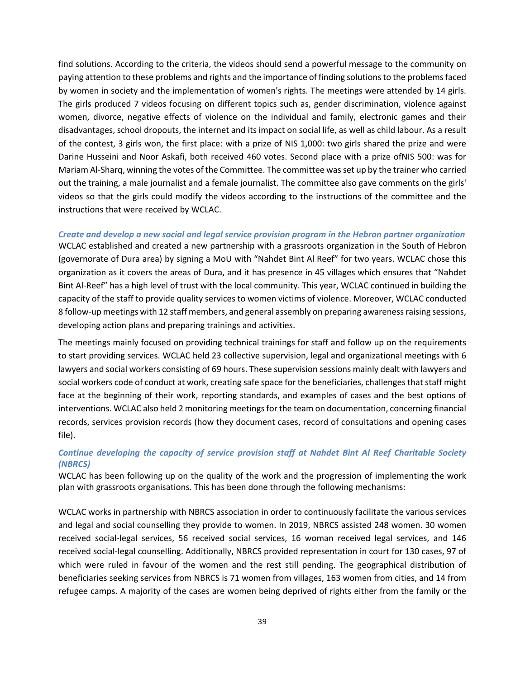find solutions. According to the criteria, the videos should send a powerful message to the community on paying attention to these problems and rights and the importance of finding solutions to the problems faced by women in society and the implementation of women's rights. The meetings were attended by 14 girls. The girls produced 7 videos focusing on different topics such as, gender discrimination, violence against women, divorce, negative effects of violence on the individual and family, electronic games and their disadvantages, school dropouts, the internet and its impact on social life, as well as child labour. As a result of the contest, 3 girls won, the first place: with a prize of NIS 1,000: two girls shared the prize and were Darine Husseini and Noor Askafi, both received 460 votes. Second place with a prize ofNIS 500: was for Mariam Al-Sharq, winning the votes of the Committee. The committee was set up by the trainer who carried out the training, a male journalist and a female journalist. The committee also gave comments on the girls' videos so that the girls could modify the videos according to the instructions of the committee and the instructions that were received by WCLAC.

#### *Create and develop a new social and legal service provision program in the Hebron partner organization*

WCLAC established and created a new partnership with a grassroots organization in the South of Hebron (governorate of Dura area) by signing a MoU with "Nahdet Bint Al Reef" for two years. WCLAC chose this organization as it covers the areas of Dura, and it has presence in 45 villages which ensures that "Nahdet Bint Al-Reef" has a high level of trust with the local community. This year, WCLAC continued in building the capacity of the staff to provide quality services to women victims of violence. Moreover, WCLAC conducted 8 follow-up meetings with 12 staff members, and general assembly on preparing awareness raising sessions, developing action plans and preparing trainings and activities.

The meetings mainly focused on providing technical trainings for staff and follow up on the requirements to start providing services. WCLAC held 23 collective supervision, legal and organizational meetings with 6 lawyers and social workers consisting of 69 hours. These supervision sessions mainly dealt with lawyers and social workers code of conduct at work, creating safe space for the beneficiaries, challenges that staff might face at the beginning of their work, reporting standards, and examples of cases and the best options of interventions. WCLAC also held 2 monitoring meetings for the team on documentation, concerning financial records, services provision records (how they document cases, record of consultations and opening cases file).

#### *Continue developing the capacity of service provision staff at Nahdet Bint Al Reef Charitable Society (NBRCS)*

WCLAC has been following up on the quality of the work and the progression of implementing the work plan with grassroots organisations. This has been done through the following mechanisms:

WCLAC works in partnership with NBRCS association in order to continuously facilitate the various services and legal and social counselling they provide to women. In 2019, NBRCS assisted 248 women. 30 women received social-legal services, 56 received social services, 16 woman received legal services, and 146 received social-legal counselling. Additionally, NBRCS provided representation in court for 130 cases, 97 of which were ruled in favour of the women and the rest still pending. The geographical distribution of beneficiaries seeking services from NBRCS is 71 women from villages, 163 women from cities, and 14 from refugee camps. A majority of the cases are women being deprived of rights either from the family or the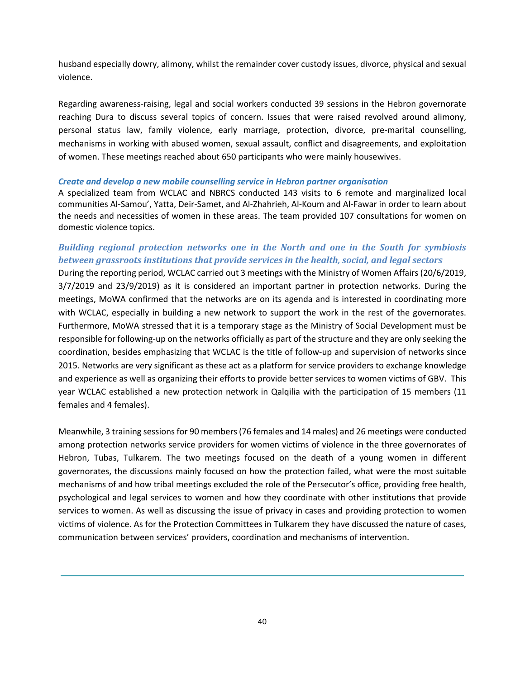husband especially dowry, alimony, whilst the remainder cover custody issues, divorce, physical and sexual violence.

Regarding awareness-raising, legal and social workers conducted 39 sessions in the Hebron governorate reaching Dura to discuss several topics of concern. Issues that were raised revolved around alimony, personal status law, family violence, early marriage, protection, divorce, pre-marital counselling, mechanisms in working with abused women, sexual assault, conflict and disagreements, and exploitation of women. These meetings reached about 650 participants who were mainly housewives.

#### *Create and develop a new mobile counselling service in Hebron partner organisation*

A specialized team from WCLAC and NBRCS conducted 143 visits to 6 remote and marginalized local communities Al-Samou', Yatta, Deir-Samet, and Al-Zhahrieh, Al-Koum and Al-Fawar in order to learn about the needs and necessities of women in these areas. The team provided 107 consultations for women on domestic violence topics.

#### *Building regional protection networks one in the North and one in the South for symbiosis between grassroots institutions that provide services in the health, social, and legal sectors*

During the reporting period, WCLAC carried out 3 meetings with the Ministry of Women Affairs (20/6/2019, 3/7/2019 and 23/9/2019) as it is considered an important partner in protection networks. During the meetings, MoWA confirmed that the networks are on its agenda and is interested in coordinating more with WCLAC, especially in building a new network to support the work in the rest of the governorates. Furthermore, MoWA stressed that it is a temporary stage as the Ministry of Social Development must be responsible for following-up on the networks officially as part of the structure and they are only seeking the coordination, besides emphasizing that WCLAC is the title of follow-up and supervision of networks since 2015. Networks are very significant as these act as a platform for service providers to exchange knowledge and experience as well as organizing their efforts to provide better services to women victims of GBV. This year WCLAC established a new protection network in Qalqilia with the participation of 15 members (11 females and 4 females).

<span id="page-39-0"></span>Meanwhile, 3 training sessions for 90 members (76 females and 14 males) and 26 meetings were conducted among protection networks service providers for women victims of violence in the three governorates of Hebron, Tubas, Tulkarem. The two meetings focused on the death of a young women in different governorates, the discussions mainly focused on how the protection failed, what were the most suitable mechanisms of and how tribal meetings excluded the role of the Persecutor's office, providing free health, psychological and legal services to women and how they coordinate with other institutions that provide services to women. As well as discussing the issue of privacy in cases and providing protection to women victims of violence. As for the Protection Committees in Tulkarem they have discussed the nature of cases, communication between services' providers, coordination and mechanisms of intervention.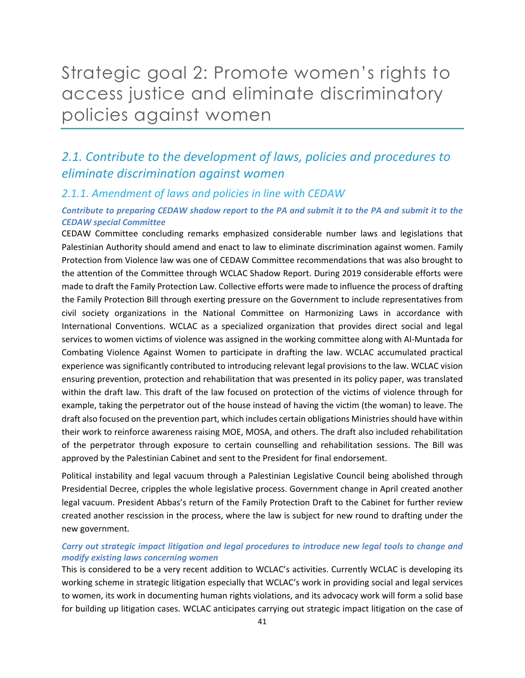## Strategic goal 2: Promote women's rights to access justice and eliminate discriminatory policies against women

### *2.1. Contribute to the development of laws, policies and procedures to eliminate discrimination against women*

#### *2.1.1. Amendment of laws and policies in line with CEDAW*

#### *Contribute to preparing CEDAW shadow report to the PA and submit it to the PA and submit it to the CEDAW special Committee*

CEDAW Committee concluding remarks emphasized considerable number laws and legislations that Palestinian Authority should amend and enact to law to eliminate discrimination against women. Family Protection from Violence law was one of CEDAW Committee recommendations that was also brought to the attention of the Committee through WCLAC Shadow Report. During 2019 considerable efforts were made to draft the Family Protection Law. Collective efforts were made to influence the process of drafting the Family Protection Bill through exerting pressure on the Government to include representatives from civil society organizations in the National Committee on Harmonizing Laws in accordance with International Conventions. WCLAC as a specialized organization that provides direct social and legal services to women victims of violence was assigned in the working committee along with Al-Muntada for Combating Violence Against Women to participate in drafting the law. WCLAC accumulated practical experience was significantly contributed to introducing relevant legal provisions to the law. WCLAC vision ensuring prevention, protection and rehabilitation that was presented in its policy paper, was translated within the draft law. This draft of the law focused on protection of the victims of violence through for example, taking the perpetrator out of the house instead of having the victim (the woman) to leave. The draft also focused on the prevention part, which includes certain obligations Ministries should have within their work to reinforce awareness raising MOE, MOSA, and others. The draft also included rehabilitation of the perpetrator through exposure to certain counselling and rehabilitation sessions. The Bill was approved by the Palestinian Cabinet and sent to the President for final endorsement.

Political instability and legal vacuum through a Palestinian Legislative Council being abolished through Presidential Decree, cripples the whole legislative process. Government change in April created another legal vacuum. President Abbas's return of the Family Protection Draft to the Cabinet for further review created another rescission in the process, where the law is subject for new round to drafting under the new government.

#### *Carry out strategic impact litigation and legal procedures to introduce new legal tools to change and modify existing laws concerning women*

This is considered to be a very recent addition to WCLAC's activities. Currently WCLAC is developing its working scheme in strategic litigation especially that WCLAC's work in providing social and legal services to women, its work in documenting human rights violations, and its advocacy work will form a solid base for building up litigation cases. WCLAC anticipates carrying out strategic impact litigation on the case of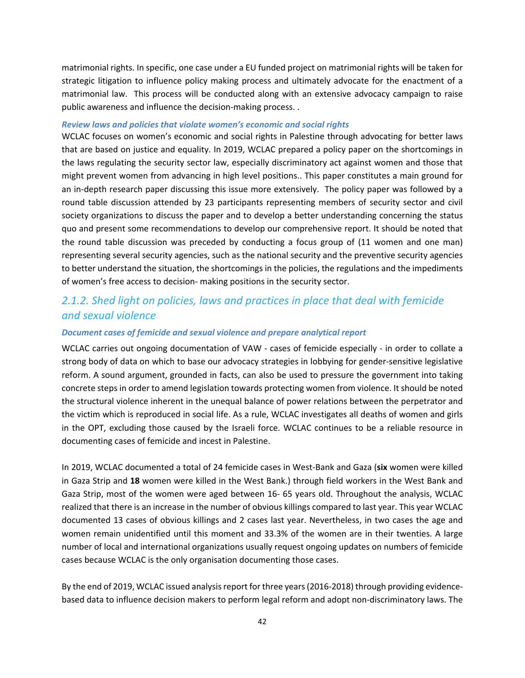matrimonial rights. In specific, one case under a EU funded project on matrimonial rights will be taken for strategic litigation to influence policy making process and ultimately advocate for the enactment of a matrimonial law. This process will be conducted along with an extensive advocacy campaign to raise public awareness and influence the decision-making process. .

#### *Review laws and policies that violate women's economic and social rights*

WCLAC focuses on women's economic and social rights in Palestine through advocating for better laws that are based on justice and equality. In 2019, WCLAC prepared a policy paper on the shortcomings in the laws regulating the security sector law, especially discriminatory act against women and those that might prevent women from advancing in high level positions.. This paper constitutes a main ground for an in-depth research paper discussing this issue more extensively. The policy paper was followed by a round table discussion attended by 23 participants representing members of security sector and civil society organizations to discuss the paper and to develop a better understanding concerning the status quo and present some recommendations to develop our comprehensive report. It should be noted that the round table discussion was preceded by conducting a focus group of (11 women and one man) representing several security agencies, such as the national security and the preventive security agencies to better understand the situation, the shortcomings in the policies, the regulations and the impediments of women's free access to decision- making positions in the security sector.

### *2.1.2. Shed light on policies, laws and practices in place that deal with femicide and sexual violence*

#### *Document cases of femicide and sexual violence and prepare analytical report*

WCLAC carries out ongoing documentation of VAW - cases of femicide especially - in order to collate a strong body of data on which to base our advocacy strategies in lobbying for gender-sensitive legislative reform. A sound argument, grounded in facts, can also be used to pressure the government into taking concrete steps in order to amend legislation towards protecting women from violence. It should be noted the structural violence inherent in the unequal balance of power relations between the perpetrator and the victim which is reproduced in social life. As a rule, WCLAC investigates all deaths of women and girls in the OPT, excluding those caused by the Israeli force. WCLAC continues to be a reliable resource in documenting cases of femicide and incest in Palestine.

In 2019, WCLAC documented a total of 24 femicide cases in West-Bank and Gaza (**six** women were killed in Gaza Strip and **18** women were killed in the West Bank.) through field workers in the West Bank and Gaza Strip, most of the women were aged between 16- 65 years old. Throughout the analysis, WCLAC realized that there is an increase in the number of obvious killings compared to last year. This year WCLAC documented 13 cases of obvious killings and 2 cases last year. Nevertheless, in two cases the age and women remain unidentified until this moment and 33.3% of the women are in their twenties. A large number of local and international organizations usually request ongoing updates on numbers of femicide cases because WCLAC is the only organisation documenting those cases.

By the end of 2019, WCLAC issued analysis report for three years (2016-2018) through providing evidencebased data to influence decision makers to perform legal reform and adopt non-discriminatory laws. The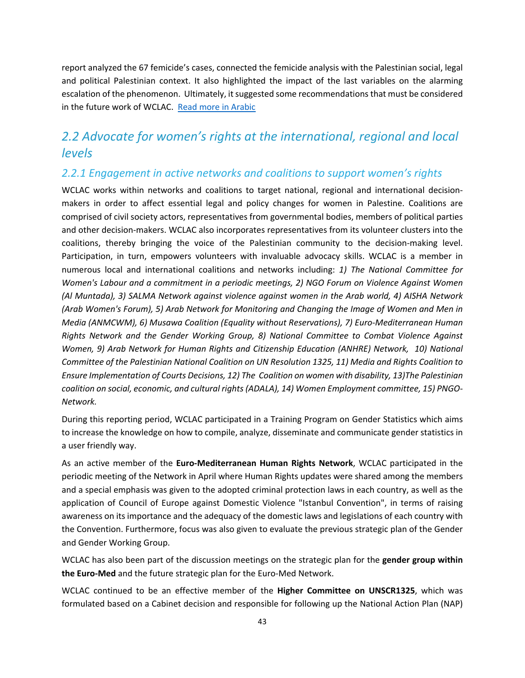report analyzed the 67 femicide's cases, connected the femicide analysis with the Palestinian social, legal and political Palestinian context. It also highlighted the impact of the last variables on the alarming escalation of the phenomenon. Ultimately, it suggested some recommendations that must be considered in the future work of WCLAC. Read more in Arabic

### *2.2 Advocate for women's rights at the international, regional and local levels*

#### *2.2.1 Engagement in active networks and coalitions to support women's rights*

WCLAC works within networks and coalitions to target national, regional and international decisionmakers in order to affect essential legal and policy changes for women in Palestine. Coalitions are comprised of civil society actors, representatives from governmental bodies, members of political parties and other decision-makers. WCLAC also incorporates representatives from its volunteer clusters into the coalitions, thereby bringing the voice of the Palestinian community to the decision-making level. Participation, in turn, empowers volunteers with invaluable advocacy skills. WCLAC is a member in numerous local and international coalitions and networks including: *1) The National Committee for Women's Labour and a commitment in a periodic meetings, 2) NGO Forum on Violence Against Women (Al Muntada), 3) SALMA Network against violence against women in the Arab world, 4) AISHA Network (Arab Women's Forum), 5) Arab Network for Monitoring and Changing the Image of Women and Men in Media (ANMCWM), 6) Musawa Coalition (Equality without Reservations), 7) Euro-Mediterranean Human Rights Network and the Gender Working Group, 8) National Committee to Combat Violence Against Women, 9) Arab Network for Human Rights and Citizenship Education (ANHRE) Network, 10) National Committee of the Palestinian National Coalition on UN Resolution 1325, 11) Media and Rights Coalition to Ensure Implementation of Courts Decisions, 12) The Coalition on women with disability, 13)The Palestinian coalition on social, economic, and cultural rights (ADALA), 14) Women Employment committee, 15) PNGO-Network.*

During this reporting period, WCLAC participated in a Training Program on Gender Statistics which aims to increase the knowledge on how to compile, analyze, disseminate and communicate gender statistics in a user friendly way.

As an active member of the **Euro-Mediterranean Human Rights Network**, WCLAC participated in the periodic meeting of the Network in April where Human Rights updates were shared among the members and a special emphasis was given to the adopted criminal protection laws in each country, as well as the application of Council of Europe against Domestic Violence "Istanbul Convention", in terms of raising awareness on its importance and the adequacy of the domestic laws and legislations of each country with the Convention. Furthermore, focus was also given to evaluate the previous strategic plan of the Gender and Gender Working Group.

WCLAC has also been part of the discussion meetings on the strategic plan for the **gender group within the Euro-Med** and the future strategic plan for the Euro-Med Network.

WCLAC continued to be an effective member of the **Higher Committee on UNSCR1325**, which was formulated based on a Cabinet decision and responsible for following up the National Action Plan (NAP)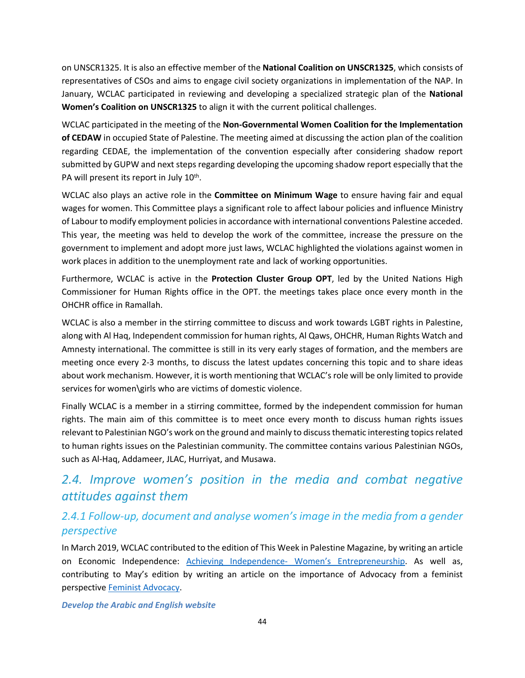on UNSCR1325. It is also an effective member of the **National Coalition on UNSCR1325**, which consists of representatives of CSOs and aims to engage civil society organizations in implementation of the NAP. In January, WCLAC participated in reviewing and developing a specialized strategic plan of the **National Women's Coalition on UNSCR1325** to align it with the current political challenges.

WCLAC participated in the meeting of the **Non-Governmental Women Coalition for the Implementation of CEDAW** in occupied State of Palestine. The meeting aimed at discussing the action plan of the coalition regarding CEDAE, the implementation of the convention especially after considering shadow report submitted by GUPW and next steps regarding developing the upcoming shadow report especially that the PA will present its report in July 10<sup>th</sup>.

WCLAC also plays an active role in the **Committee on Minimum Wage** to ensure having fair and equal wages for women. This Committee plays a significant role to affect labour policies and influence Ministry of Labour to modify employment policies in accordance with international conventions Palestine acceded. This year, the meeting was held to develop the work of the committee, increase the pressure on the government to implement and adopt more just laws, WCLAC highlighted the violations against women in work places in addition to the unemployment rate and lack of working opportunities.

Furthermore, WCLAC is active in the **Protection Cluster Group OPT**, led by the United Nations High Commissioner for Human Rights office in the OPT. the meetings takes place once every month in the OHCHR office in Ramallah.

WCLAC is also a member in the stirring committee to discuss and work towards LGBT rights in Palestine, along with Al Haq, Independent commission for human rights, Al Qaws, OHCHR, Human Rights Watch and Amnesty international. The committee is still in its very early stages of formation, and the members are meeting once every 2-3 months, to discuss the latest updates concerning this topic and to share ideas about work mechanism. However, it is worth mentioning that WCLAC's role will be only limited to provide services for women\girls who are victims of domestic violence.

Finally WCLAC is a member in a stirring committee, formed by the independent commission for human rights. The main aim of this committee is to meet once every month to discuss human rights issues relevant to Palestinian NGO's work on the ground and mainly to discuss thematic interesting topics related to human rights issues on the Palestinian community. The committee contains various Palestinian NGOs, such as Al-Haq, Addameer, JLAC, Hurriyat, and Musawa.

### *2.4. Improve women's position in the media and combat negative attitudes against them*

### *2.4.1 Follow-up, document and analyse women's image in the media from a gender perspective*

In March 2019, WCLAC contributed to the edition of This Week in Palestine Magazine, by writing an article on Economic Independence: [Achieving Independence- Women's Entrepreneurship](http://thisweekinpalestine.com/achieving-independence-2/). As well as, contributing to May's edition by writing an article on the importance of Advocacy from a feminist perspective [Feminist Advocacy.](http://thisweekinpalestine.com/feminist-advocacy-womens-rights-palestine/)

#### *Develop the Arabic and English website*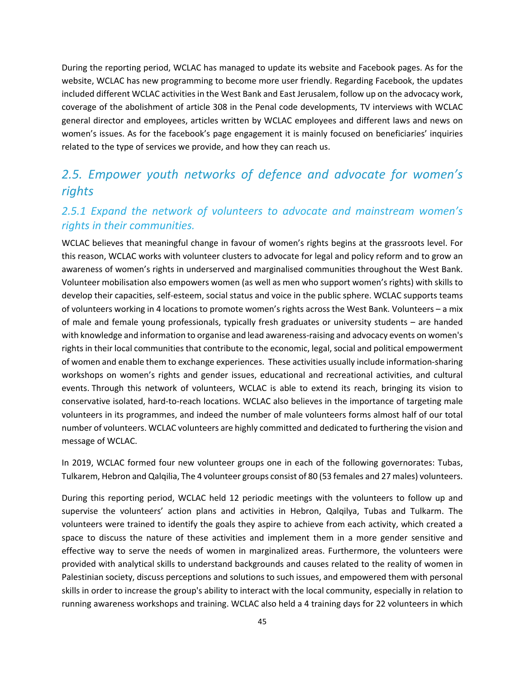During the reporting period, WCLAC has managed to update its website and Facebook pages. As for the website, WCLAC has new programming to become more user friendly. Regarding Facebook, the updates included different WCLAC activities in the West Bank and East Jerusalem, follow up on the advocacy work, coverage of the abolishment of article 308 in the Penal code developments, TV interviews with WCLAC general director and employees, articles written by WCLAC employees and different laws and news on women's issues. As for the facebook's page engagement it is mainly focused on beneficiaries' inquiries related to the type of services we provide, and how they can reach us.

### *2.5. Empower youth networks of defence and advocate for women's rights*

### *2.5.1 Expand the network of volunteers to advocate and mainstream women's rights in their communities.*

WCLAC believes that meaningful change in favour of women's rights begins at the grassroots level. For this reason, WCLAC works with volunteer clusters to advocate for legal and policy reform and to grow an awareness of women's rights in underserved and marginalised communities throughout the West Bank. Volunteer mobilisation also empowers women (as well as men who support women's rights) with skills to develop their capacities, self-esteem, social status and voice in the public sphere. WCLAC supports teams of volunteers working in 4 locations to promote women's rights across the West Bank. Volunteers – a mix of male and female young professionals, typically fresh graduates or university students – are handed with knowledge and information to organise and lead awareness-raising and advocacy events on women's rights in their local communities that contribute to the economic, legal, social and political empowerment of women and enable them to exchange experiences. These activities usually include information-sharing workshops on women's rights and gender issues, educational and recreational activities, and cultural events. Through this network of volunteers, WCLAC is able to extend its reach, bringing its vision to conservative isolated, hard-to-reach locations. WCLAC also believes in the importance of targeting male volunteers in its programmes, and indeed the number of male volunteers forms almost half of our total number of volunteers. WCLAC volunteers are highly committed and dedicated to furthering the vision and message of WCLAC.

In 2019, WCLAC formed four new volunteer groups one in each of the following governorates: Tubas, Tulkarem, Hebron and Qalqilia, The 4 volunteer groups consist of 80 (53 females and 27 males) volunteers.

During this reporting period, WCLAC held 12 periodic meetings with the volunteers to follow up and supervise the volunteers' action plans and activities in Hebron, Qalqilya, Tubas and Tulkarm. The volunteers were trained to identify the goals they aspire to achieve from each activity, which created a space to discuss the nature of these activities and implement them in a more gender sensitive and effective way to serve the needs of women in marginalized areas. Furthermore, the volunteers were provided with analytical skills to understand backgrounds and causes related to the reality of women in Palestinian society, discuss perceptions and solutions to such issues, and empowered them with personal skills in order to increase the group's ability to interact with the local community, especially in relation to running awareness workshops and training. WCLAC also held a 4 training days for 22 volunteers in which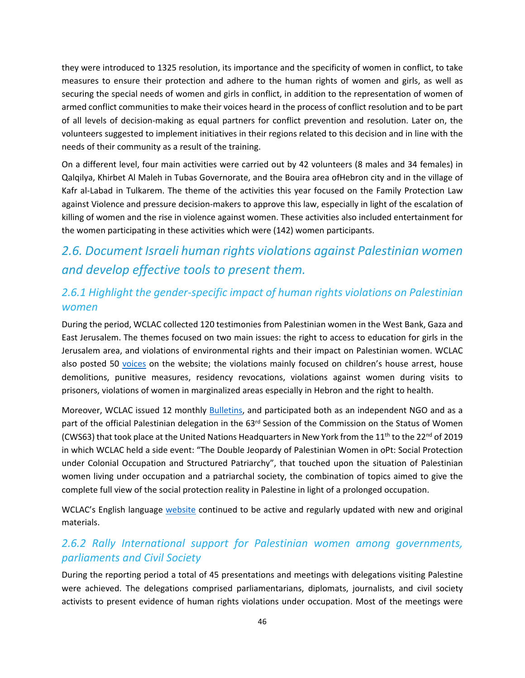they were introduced to 1325 resolution, its importance and the specificity of women in conflict, to take measures to ensure their protection and adhere to the human rights of women and girls, as well as securing the special needs of women and girls in conflict, in addition to the representation of women of armed conflict communities to make their voices heard in the process of conflict resolution and to be part of all levels of decision-making as equal partners for conflict prevention and resolution. Later on, the volunteers suggested to implement initiatives in their regions related to this decision and in line with the needs of their community as a result of the training.

On a different level, four main activities were carried out by 42 volunteers (8 males and 34 females) in Qalqilya, Khirbet Al Maleh in Tubas Governorate, and the Bouira area ofHebron city and in the village of Kafr al-Labad in Tulkarem. The theme of the activities this year focused on the Family Protection Law against Violence and pressure decision-makers to approve this law, especially in light of the escalation of killing of women and the rise in violence against women. These activities also included entertainment for the women participating in these activities which were (142) women participants.

### *2.6. Document Israeli human rights violations against Palestinian women and develop effective tools to present them.*

### *2.6.1 Highlight the gender-specific impact of human rights violations on Palestinian women*

During the period, WCLAC collected 120 testimonies from Palestinian women in the West Bank, Gaza and East Jerusalem. The themes focused on two main issues: the right to access to education for girls in the Jerusalem area, and violations of environmental rights and their impact on Palestinian women. WCLAC also posted 50 [voices](http://www.wclac.org/Wvoices/All) on the website; the violations mainly focused on children's house arrest, house demolitions, punitive measures, residency revocations, violations against women during visits to prisoners, violations of women in marginalized areas especially in Hebron and the right to health.

Moreover, WCLAC issued 12 monthly [Bulletins,](http://www.wclac.org/Bulletins/All) and participated both as an independent NGO and as a part of the official Palestinian delegation in the 63<sup>rd</sup> Session of the Commission on the Status of Women (CWS63) that took place at the United Nations Headquarters in New York from the 11<sup>th</sup> to the 22<sup>nd</sup> of 2019 in which WCLAC held a side event: "The Double Jeopardy of Palestinian Women in oPt: Social Protection under Colonial Occupation and Structured Patriarchy", that touched upon the situation of Palestinian women living under occupation and a patriarchal society, the combination of topics aimed to give the complete full view of the social protection reality in Palestine in light of a prolonged occupation.

WCLAC's English language [website](http://www.wclac.org/) continued to be active and regularly updated with new and original materials.

### *2.6.2 Rally International support for Palestinian women among governments, parliaments and Civil Society*

During the reporting period a total of 45 presentations and meetings with delegations visiting Palestine were achieved. The delegations comprised parliamentarians, diplomats, journalists, and civil society activists to present evidence of human rights violations under occupation. Most of the meetings were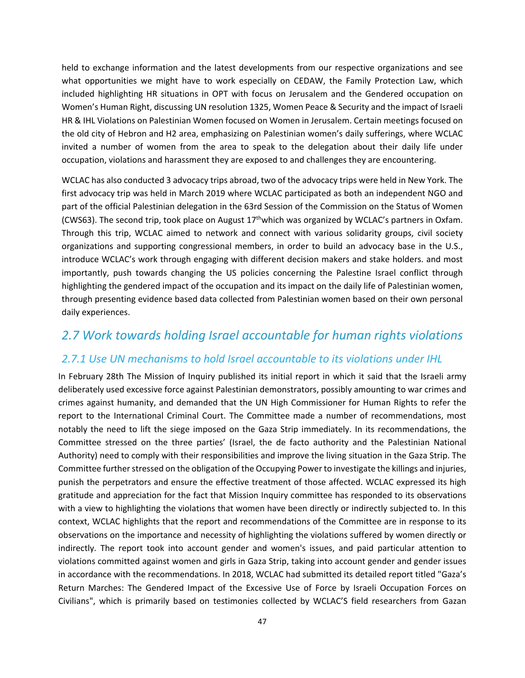held to exchange information and the latest developments from our respective organizations and see what opportunities we might have to work especially on CEDAW, the Family Protection Law, which included highlighting HR situations in OPT with focus on Jerusalem and the Gendered occupation on Women's Human Right, discussing UN resolution 1325, Women Peace & Security and the impact of Israeli HR & IHL Violations on Palestinian Women focused on Women in Jerusalem. Certain meetings focused on the old city of Hebron and H2 area, emphasizing on Palestinian women's daily sufferings, where WCLAC invited a number of women from the area to speak to the delegation about their daily life under occupation, violations and harassment they are exposed to and challenges they are encountering.

WCLAC has also conducted 3 advocacy trips abroad, two of the advocacy trips were held in New York. The first advocacy trip was held in March 2019 where WCLAC participated as both an independent NGO and part of the official Palestinian delegation in the 63rd Session of the Commission on the Status of Women (CWS63). The second trip, took place on August  $17<sup>th</sup>$ which was organized by WCLAC's partners in Oxfam. Through this trip, WCLAC aimed to network and connect with various solidarity groups, civil society organizations and supporting congressional members, in order to build an advocacy base in the U.S., introduce WCLAC's work through engaging with different decision makers and stake holders. and most importantly, push towards changing the US policies concerning the Palestine Israel conflict through highlighting the gendered impact of the occupation and its impact on the daily life of Palestinian women, through presenting evidence based data collected from Palestinian women based on their own personal daily experiences.

### *2.7 Work towards holding Israel accountable for human rights violations*

#### *2.7.1 Use UN mechanisms to hold Israel accountable to its violations under IHL*

In February 28th The Mission of Inquiry published its initial report in which it said that the Israeli army deliberately used excessive force against Palestinian demonstrators, possibly amounting to war crimes and crimes against humanity, and demanded that the UN High Commissioner for Human Rights to refer the report to the International Criminal Court. The Committee made a number of recommendations, most notably the need to lift the siege imposed on the Gaza Strip immediately. In its recommendations, the Committee stressed on the three parties' (Israel, the de facto authority and the Palestinian National Authority) need to comply with their responsibilities and improve the living situation in the Gaza Strip. The Committee further stressed on the obligation of the Occupying Power to investigate the killings and injuries, punish the perpetrators and ensure the effective treatment of those affected. WCLAC expressed its high gratitude and appreciation for the fact that Mission Inquiry committee has responded to its observations with a view to highlighting the violations that women have been directly or indirectly subjected to. In this context, WCLAC highlights that the report and recommendations of the Committee are in response to its observations on the importance and necessity of highlighting the violations suffered by women directly or indirectly. The report took into account gender and women's issues, and paid particular attention to violations committed against women and girls in Gaza Strip, taking into account gender and gender issues in accordance with the recommendations. In 2018, WCLAC had submitted its detailed report titled "Gaza's Return Marches: The Gendered Impact of the Excessive Use of Force by Israeli Occupation Forces on Civilians", which is primarily based on testimonies collected by WCLAC'S field researchers from Gazan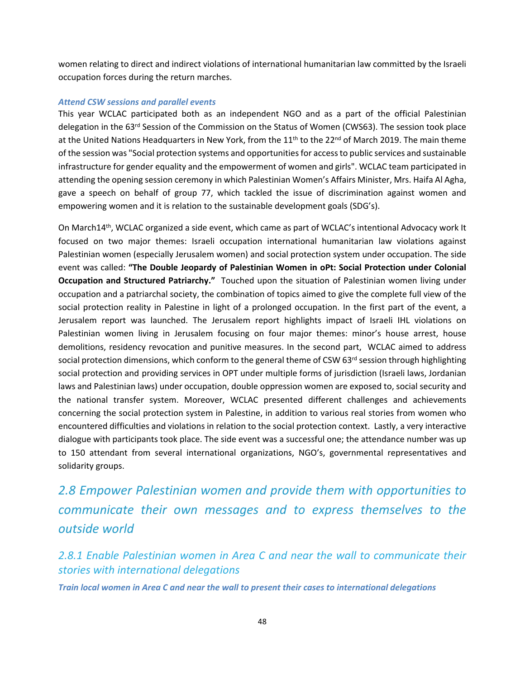women relating to direct and indirect violations of international humanitarian law committed by the Israeli occupation forces during the return marches.

#### *Attend CSW sessions and parallel events*

This year WCLAC participated both as an independent NGO and as a part of the official Palestinian delegation in the 63<sup>rd</sup> Session of the Commission on the Status of Women (CWS63). The session took place at the United Nations Headquarters in New York, from the 11<sup>th</sup> to the 22<sup>nd</sup> of March 2019. The main theme of the session was "Social protection systems and opportunities for access to public services and sustainable infrastructure for gender equality and the empowerment of women and girls". WCLAC team participated in attending the opening session ceremony in which Palestinian Women's Affairs Minister, Mrs. Haifa Al Agha, gave a speech on behalf of group 77, which tackled the issue of discrimination against women and empowering women and it is relation to the sustainable development goals (SDG's).

On March14th, WCLAC organized a side event, which came as part of WCLAC's intentional Advocacy work It focused on two major themes: Israeli occupation international humanitarian law violations against Palestinian women (especially Jerusalem women) and social protection system under occupation. The side event was called: **"The Double Jeopardy of Palestinian Women in oPt: Social Protection under Colonial Occupation and Structured Patriarchy."** Touched upon the situation of Palestinian women living under occupation and a patriarchal society, the combination of topics aimed to give the complete full view of the social protection reality in Palestine in light of a prolonged occupation. In the first part of the event, a Jerusalem report was launched. The Jerusalem report highlights impact of Israeli IHL violations on Palestinian women living in Jerusalem focusing on four major themes: minor's house arrest, house demolitions, residency revocation and punitive measures. In the second part, WCLAC aimed to address social protection dimensions, which conform to the general theme of CSW 63<sup>rd</sup> session through highlighting social protection and providing services in OPT under multiple forms of jurisdiction (Israeli laws, Jordanian laws and Palestinian laws) under occupation, double oppression women are exposed to, social security and the national transfer system. Moreover, WCLAC presented different challenges and achievements concerning the social protection system in Palestine, in addition to various real stories from women who encountered difficulties and violations in relation to the social protection context. Lastly, a very interactive dialogue with participants took place. The side event was a successful one; the attendance number was up to 150 attendant from several international organizations, NGO's, governmental representatives and solidarity groups.

*2.8 Empower Palestinian women and provide them with opportunities to communicate their own messages and to express themselves to the outside world*

*2.8.1 Enable Palestinian women in Area C and near the wall to communicate their stories with international delegations*

*Train local women in Area C and near the wall to present their cases to international delegations*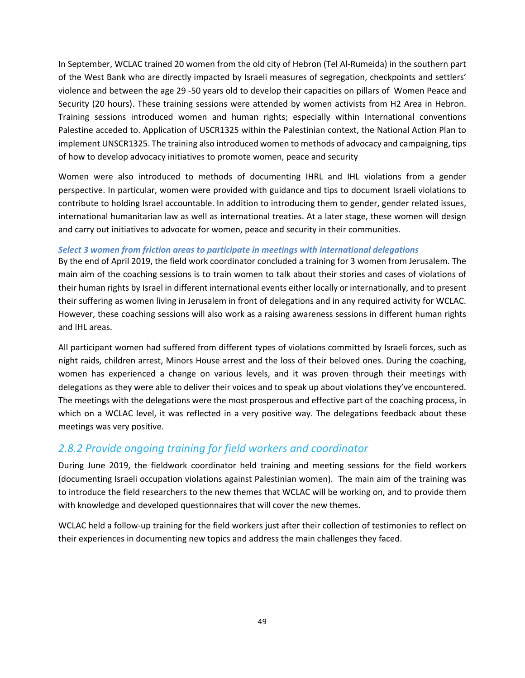In September, WCLAC trained 20 women from the old city of Hebron (Tel Al-Rumeida) in the southern part of the West Bank who are directly impacted by Israeli measures of segregation, checkpoints and settlers' violence and between the age 29 -50 years old to develop their capacities on pillars of Women Peace and Security (20 hours). These training sessions were attended by women activists from H2 Area in Hebron. Training sessions introduced women and human rights; especially within International conventions Palestine acceded to. Application of USCR1325 within the Palestinian context, the National Action Plan to implement UNSCR1325. The training also introduced women to methods of advocacy and campaigning, tips of how to develop advocacy initiatives to promote women, peace and security

Women were also introduced to methods of documenting IHRL and IHL violations from a gender perspective. In particular, women were provided with guidance and tips to document Israeli violations to contribute to holding Israel accountable. In addition to introducing them to gender, gender related issues, international humanitarian law as well as international treaties. At a later stage, these women will design and carry out initiatives to advocate for women, peace and security in their communities.

#### *Select 3 women from friction areas to participate in meetings with international delegations*

By the end of April 2019, the field work coordinator concluded a training for 3 women from Jerusalem. The main aim of the coaching sessions is to train women to talk about their stories and cases of violations of their human rights by Israel in different international events either locally or internationally, and to present their suffering as women living in Jerusalem in front of delegations and in any required activity for WCLAC. However, these coaching sessions will also work as a raising awareness sessions in different human rights and IHL areas.

All participant women had suffered from different types of violations committed by Israeli forces, such as night raids, children arrest, Minors House arrest and the loss of their beloved ones. During the coaching, women has experienced a change on various levels, and it was proven through their meetings with delegations as they were able to deliver their voices and to speak up about violations they've encountered. The meetings with the delegations were the most prosperous and effective part of the coaching process, in which on a WCLAC level, it was reflected in a very positive way. The delegations feedback about these meetings was very positive.

### *2.8.2 Provide ongoing training for field workers and coordinator*

During June 2019, the fieldwork coordinator held training and meeting sessions for the field workers (documenting Israeli occupation violations against Palestinian women). The main aim of the training was to introduce the field researchers to the new themes that WCLAC will be working on, and to provide them with knowledge and developed questionnaires that will cover the new themes.

WCLAC held a follow-up training for the field workers just after their collection of testimonies to reflect on their experiences in documenting new topics and address the main challenges they faced.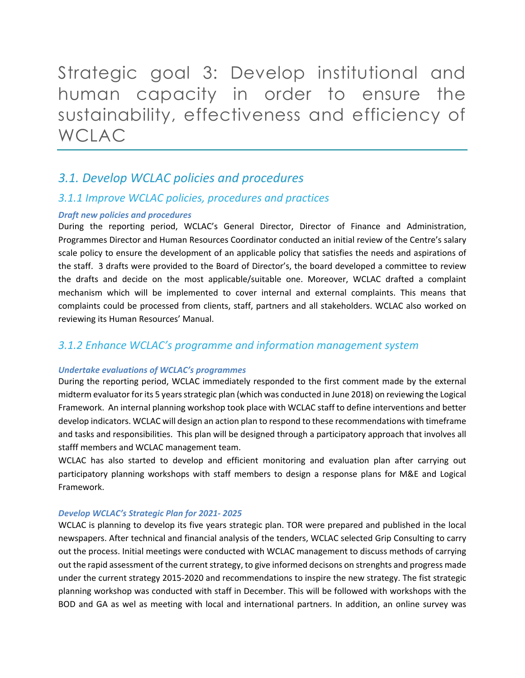<span id="page-49-0"></span>Strategic goal 3: Develop institutional and human capacity in order to ensure the sustainability, effectiveness and efficiency of WCLAC

### *3.1. Develop WCLAC policies and procedures*

#### *3.1.1 Improve WCLAC policies, procedures and practices*

#### *Draft new policies and procedures*

During the reporting period, WCLAC's General Director, Director of Finance and Administration, Programmes Director and Human Resources Coordinator conducted an initial review of the Centre's salary scale policy to ensure the development of an applicable policy that satisfies the needs and aspirations of the staff. 3 drafts were provided to the Board of Director's, the board developed a committee to review the drafts and decide on the most applicable/suitable one. Moreover, WCLAC drafted a complaint mechanism which will be implemented to cover internal and external complaints. This means that complaints could be processed from clients, staff, partners and all stakeholders. WCLAC also worked on reviewing its Human Resources' Manual.

### *3.1.2 Enhance WCLAC's programme and information management system*

#### *Undertake evaluations of WCLAC's programmes*

During the reporting period, WCLAC immediately responded to the first comment made by the external midterm evaluator for its 5 years strategic plan (which was conducted in June 2018) on reviewing the Logical Framework. An internal planning workshop took place with WCLAC staff to define interventions and better develop indicators. WCLAC will design an action plan to respond to these recommendations with timeframe and tasks and responsibilities. This plan will be designed through a participatory approach that involves all stafff members and WCLAC management team.

WCLAC has also started to develop and efficient monitoring and evaluation plan after carrying out participatory planning workshops with staff members to design a response plans for M&E and Logical Framework.

#### *Develop WCLAC's Strategic Plan for 2021- 2025*

WCLAC is planning to develop its five years strategic plan. TOR were prepared and published in the local newspapers. After technical and financial analysis of the tenders, WCLAC selected Grip Consulting to carry out the process. Initial meetings were conducted with WCLAC management to discuss methods of carrying out the rapid assessment of the current strategy, to give informed decisons on strenghts and progress made under the current strategy 2015-2020 and recommendations to inspire the new strategy. The fist strategic planning workshop was conducted with staff in December. This will be followed with workshops with the BOD and GA as wel as meeting with local and international partners. In addition, an online survey was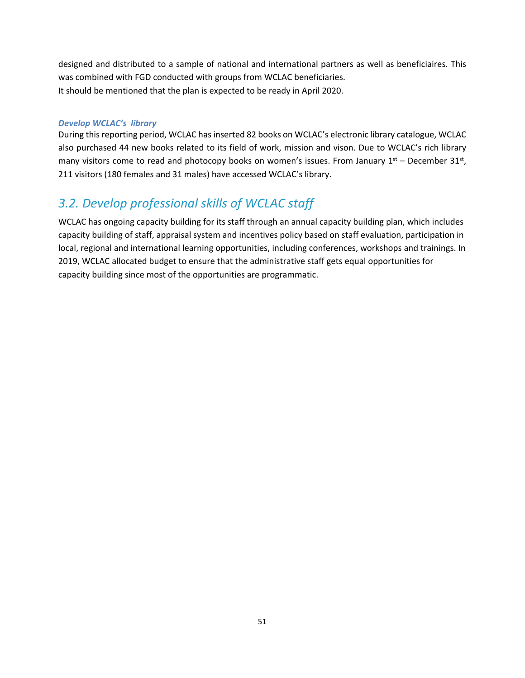designed and distributed to a sample of national and international partners as well as beneficiaires. This was combined with FGD conducted with groups from WCLAC beneficiaries. It should be mentioned that the plan is expected to be ready in April 2020.

#### *Develop WCLAC's library*

During this reporting period, WCLAC has inserted 82 books on WCLAC's electronic library catalogue, WCLAC also purchased 44 new books related to its field of work, mission and vison. Due to WCLAC's rich library many visitors come to read and photocopy books on women's issues. From January  $1<sup>st</sup>$  – December 31st, 211 visitors (180 females and 31 males) have accessed WCLAC's library.

### *3.2. Develop professional skills of WCLAC staff*

WCLAC has ongoing capacity building for its staff through an annual capacity building plan, which includes capacity building of staff, appraisal system and incentives policy based on staff evaluation, participation in local, regional and international learning opportunities, including conferences, workshops and trainings. In 2019, WCLAC allocated budget to ensure that the administrative staff gets equal opportunities for capacity building since most of the opportunities are programmatic.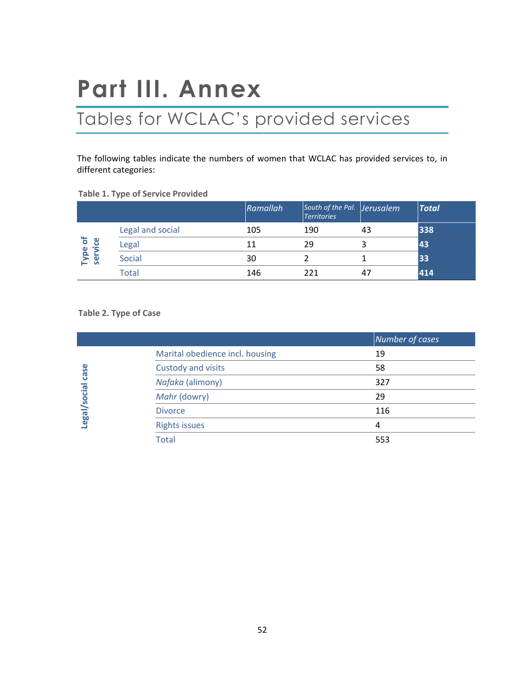# <span id="page-51-0"></span>**Part III. Annex**

# <span id="page-51-1"></span>Tables for WCLAC's provided services

The following tables indicate the numbers of women that WCLAC has provided services to, in different categories:

|                    |                  | Ramallah | South of the Pal. Jerusalem<br><b>Territories</b> |    | <b>Total</b> |
|--------------------|------------------|----------|---------------------------------------------------|----|--------------|
|                    | Legal and social | 105      | 190                                               | 43 | 338          |
| Type of<br>service | Legal            | 11       | 29                                                | 3  | 43           |
|                    | <b>Social</b>    | 30       |                                                   |    | 33           |
|                    | Total            | 146      | 221                                               | 47 | 414          |

#### **Table 1. Type of Service Provided**

#### **Table 2. Type of Case**

|              |                                 | Number of cases |
|--------------|---------------------------------|-----------------|
|              | Marital obedience incl. housing | 19              |
| case         | Custody and visits              | 58              |
|              | Nafaka (alimony)                | 327             |
|              | Mahr (dowry)                    | 29              |
| Legal/social | <b>Divorce</b>                  | 116             |
|              | <b>Rights issues</b>            | 4               |
|              | <b>Total</b>                    | 553             |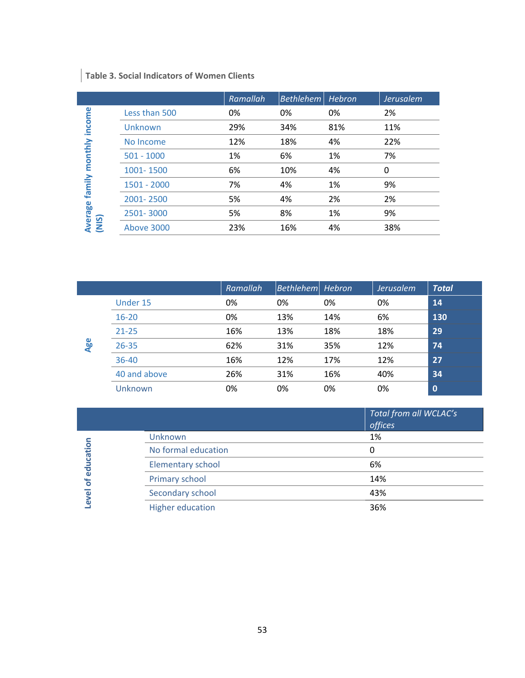### **Table 3. Social Indicators of Women Clients**

|               | Ramallah | Bethlehem | Hebron | Jerusalem |
|---------------|----------|-----------|--------|-----------|
| Less than 500 | 0%       | 0%        | 0%     | 2%        |
| Unknown       | 29%      | 34%       | 81%    | 11%       |
| No Income     | 12%      | 18%       | 4%     | 22%       |
| $501 - 1000$  | 1%       | 6%        | 1%     | 7%        |
| 1001-1500     | 6%       | 10%       | 4%     | 0         |
| $1501 - 2000$ | 7%       | 4%        | 1%     | 9%        |
| 2001-2500     | 5%       | 4%        | 2%     | 2%        |
| 2501-3000     | 5%       | 8%        | 1%     | 9%        |
| Above 3000    | 23%      | 16%       | 4%     | 38%       |
|               |          |           |        |           |

|     |              | Ramallah | Bethlehem Hebron |     | <b>Jerusalem</b> | <b>Total</b> |
|-----|--------------|----------|------------------|-----|------------------|--------------|
|     | Under 15     | 0%       | 0%               | 0%  | 0%               | 14           |
|     | $16 - 20$    | 0%       | 13%              | 14% | 6%               | 130          |
| Age | $21 - 25$    | 16%      | 13%              | 18% | 18%              | 29           |
|     | $26 - 35$    | 62%      | 31%              | 35% | 12%              | 74           |
|     | 36-40        | 16%      | 12%              | 17% | 12%              | 27           |
|     | 40 and above | 26%      | 31%              | 16% | 40%              | 34           |
|     | Unknown      | 0%       | 0%               | 0%  | 0%               | $\mathbf 0$  |

Level of education **Level of education**

 $\overline{\phantom{a}}$ 

|                          | Total from all WCLAC's<br>offices |
|--------------------------|-----------------------------------|
| Unknown                  | 1%                                |
| No formal education      | 0                                 |
| <b>Elementary school</b> | 6%                                |
| Primary school           | 14%                               |
| Secondary school         | 43%                               |
| <b>Higher education</b>  | 36%                               |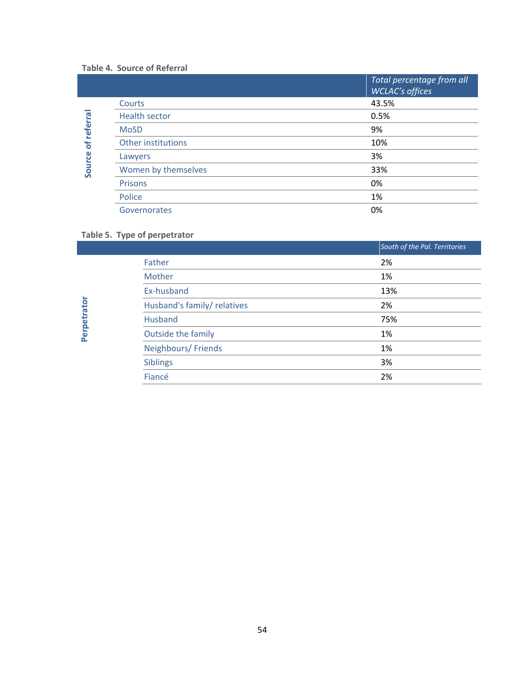#### **Table 4. Source of Referral**

|         |                      | Total percentage from all<br><b>WCLAC's offices</b> |
|---------|----------------------|-----------------------------------------------------|
|         | Courts               | 43.5%                                               |
|         | <b>Health sector</b> | 0.5%                                                |
| referra | <b>MoSD</b>          | 9%                                                  |
| ិ៍      | Other institutions   | 10%                                                 |
|         | Lawyers              | 3%                                                  |
| Source  | Women by themselves  | 33%                                                 |
|         | Prisons              | 0%                                                  |
|         | Police               | 1%                                                  |
|         | Governorates         | 0%                                                  |

#### **Table 5. Type of perpetrator**

**Perpetrator**

| South of the Pal. Territories |
|-------------------------------|
| 2%                            |
| 1%                            |
| 13%                           |
| 2%                            |
| 75%                           |
| 1%                            |
| 1%                            |
| 3%                            |
| 2%                            |
|                               |